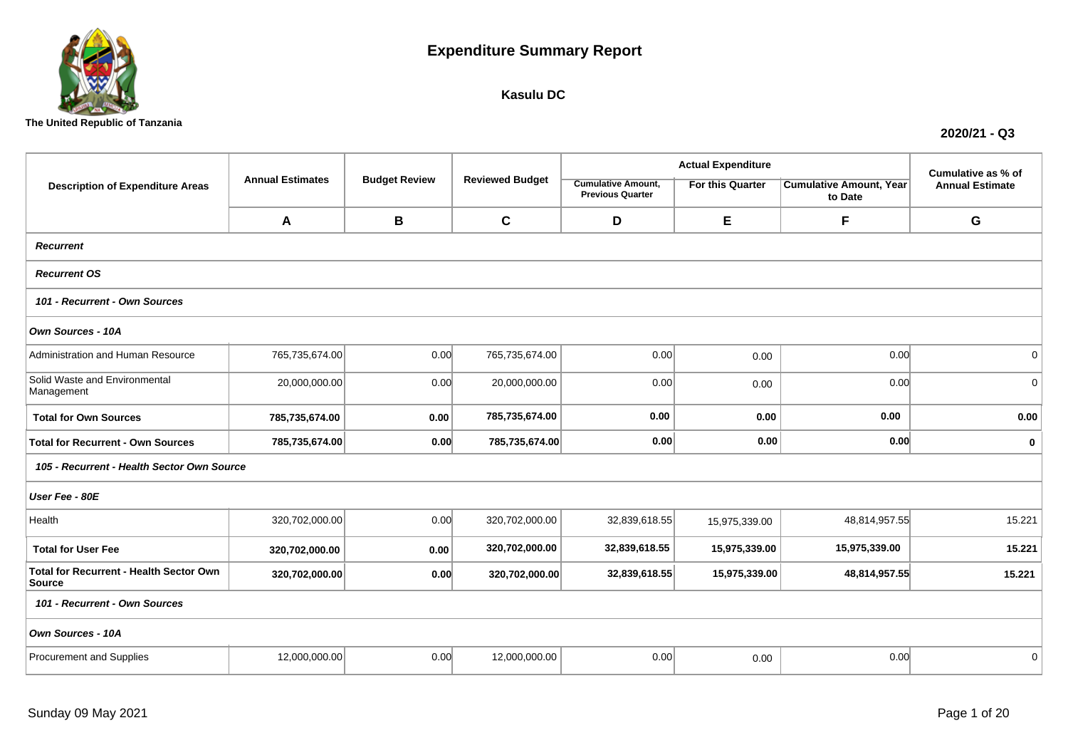

## **Kasulu DC**

**The United Republic of Tanzania**

|                                                   |                         |                      |                        |                                                      | <b>Actual Expenditure</b> |                                           | Cumulative as % of<br><b>Annual Estimate</b> |
|---------------------------------------------------|-------------------------|----------------------|------------------------|------------------------------------------------------|---------------------------|-------------------------------------------|----------------------------------------------|
| <b>Description of Expenditure Areas</b>           | <b>Annual Estimates</b> | <b>Budget Review</b> | <b>Reviewed Budget</b> | <b>Cumulative Amount,</b><br><b>Previous Quarter</b> | For this Quarter          | <b>Cumulative Amount, Year</b><br>to Date |                                              |
|                                                   | A                       | B                    | $\mathbf c$            | D                                                    | E                         | F                                         | G                                            |
| <b>Recurrent</b>                                  |                         |                      |                        |                                                      |                           |                                           |                                              |
| <b>Recurrent OS</b>                               |                         |                      |                        |                                                      |                           |                                           |                                              |
| 101 - Recurrent - Own Sources                     |                         |                      |                        |                                                      |                           |                                           |                                              |
| Own Sources - 10A                                 |                         |                      |                        |                                                      |                           |                                           |                                              |
| Administration and Human Resource                 | 765,735,674.00          | 0.00                 | 765,735,674.00         | 0.00                                                 | 0.00                      | 0.00                                      | $\mathbf 0$                                  |
| Solid Waste and Environmental<br>Management       | 20,000,000.00           | 0.00                 | 20,000,000.00          | 0.00                                                 | 0.00                      | 0.00                                      | $\overline{0}$                               |
| <b>Total for Own Sources</b>                      | 785,735,674.00          | 0.00                 | 785,735,674.00         | 0.00                                                 | 0.00                      | 0.00                                      | 0.00                                         |
| <b>Total for Recurrent - Own Sources</b>          | 785,735,674.00          | 0.00                 | 785,735,674.00         | 0.00                                                 | 0.00                      | 0.00                                      | $\mathbf 0$                                  |
| 105 - Recurrent - Health Sector Own Source        |                         |                      |                        |                                                      |                           |                                           |                                              |
| User Fee - 80E                                    |                         |                      |                        |                                                      |                           |                                           |                                              |
| Health                                            | 320,702,000.00          | 0.00                 | 320,702,000.00         | 32,839,618.55                                        | 15,975,339.00             | 48,814,957.55                             | 15.221                                       |
| <b>Total for User Fee</b>                         | 320,702,000.00          | 0.00                 | 320,702,000.00         | 32,839,618.55                                        | 15,975,339.00             | 15,975,339.00                             | 15.221                                       |
| Total for Recurrent - Health Sector Own<br>Source | 320,702,000.00          | 0.00                 | 320,702,000.00         | 32,839,618.55                                        | 15,975,339.00             | 48,814,957.55                             | 15.221                                       |
| 101 - Recurrent - Own Sources                     |                         |                      |                        |                                                      |                           |                                           |                                              |
| Own Sources - 10A                                 |                         |                      |                        |                                                      |                           |                                           |                                              |
| <b>Procurement and Supplies</b>                   | 12,000,000.00           | 0.00                 | 12,000,000.00          | 0.00                                                 | 0.00                      | 0.00                                      | $\mathbf{0}$                                 |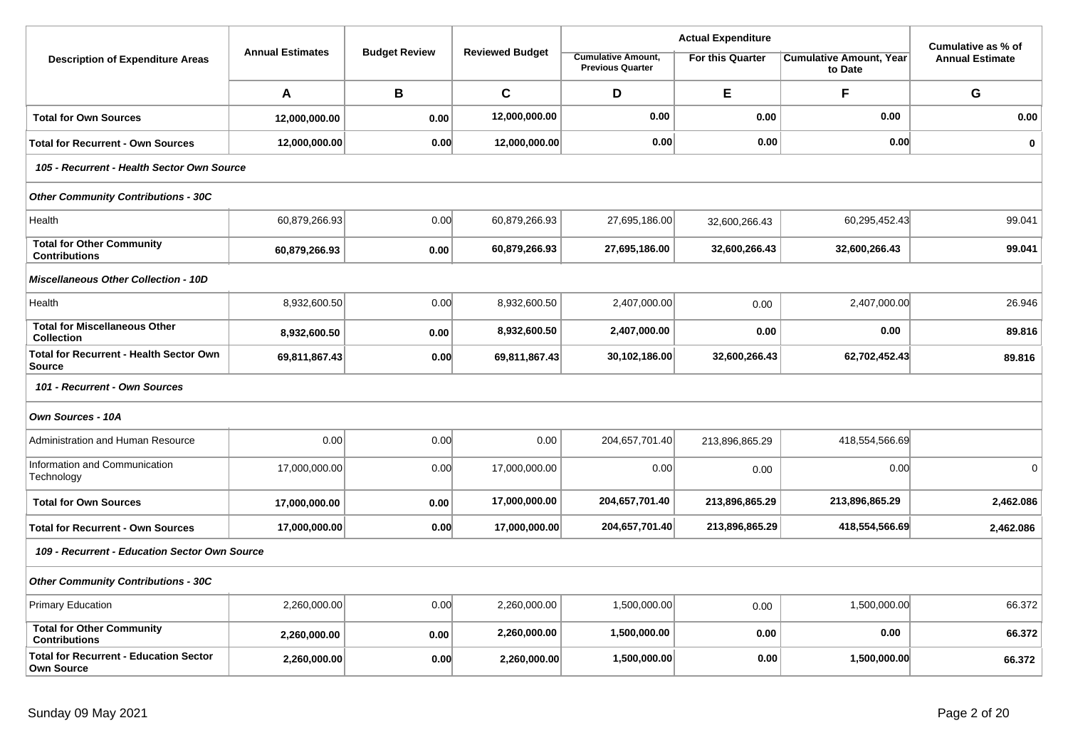|                                                                    |                         |                      |                        |                                                      | <b>Actual Expenditure</b> |                                           | Cumulative as % of     |
|--------------------------------------------------------------------|-------------------------|----------------------|------------------------|------------------------------------------------------|---------------------------|-------------------------------------------|------------------------|
| <b>Description of Expenditure Areas</b>                            | <b>Annual Estimates</b> | <b>Budget Review</b> | <b>Reviewed Budget</b> | <b>Cumulative Amount,</b><br><b>Previous Quarter</b> | <b>For this Quarter</b>   | <b>Cumulative Amount, Year</b><br>to Date | <b>Annual Estimate</b> |
|                                                                    | A                       | B                    | $\mathbf{C}$           | D                                                    | E                         | F                                         | G                      |
| <b>Total for Own Sources</b>                                       | 12,000,000.00           | 0.00                 | 12,000,000.00          | 0.00                                                 | 0.00                      | 0.00                                      | 0.00                   |
| <b>Total for Recurrent - Own Sources</b>                           | 12,000,000.00           | 0.00                 | 12,000,000.00          | 0.00                                                 | 0.00                      | 0.00                                      | $\mathbf 0$            |
| 105 - Recurrent - Health Sector Own Source                         |                         |                      |                        |                                                      |                           |                                           |                        |
| <b>Other Community Contributions - 30C</b>                         |                         |                      |                        |                                                      |                           |                                           |                        |
| Health                                                             | 60,879,266.93           | 0.00                 | 60,879,266.93          | 27,695,186.00                                        | 32,600,266.43             | 60,295,452.43                             | 99.041                 |
| <b>Total for Other Community</b><br><b>Contributions</b>           | 60,879,266.93           | 0.00                 | 60,879,266.93          | 27,695,186.00                                        | 32,600,266.43             | 32,600,266.43                             | 99.041                 |
| <b>Miscellaneous Other Collection - 10D</b>                        |                         |                      |                        |                                                      |                           |                                           |                        |
| Health                                                             | 8,932,600.50            | 0.00                 | 8,932,600.50           | 2,407,000.00                                         | 0.00                      | 2,407,000.00                              | 26.946                 |
| <b>Total for Miscellaneous Other</b><br><b>Collection</b>          | 8,932,600.50            | 0.00                 | 8,932,600.50           | 2,407,000.00                                         | 0.00                      | 0.00                                      | 89.816                 |
| <b>Total for Recurrent - Health Sector Own</b><br><b>Source</b>    | 69,811,867.43           | 0.00                 | 69,811,867.43          | 30,102,186.00                                        | 32,600,266.43             | 62,702,452.43                             | 89.816                 |
| 101 - Recurrent - Own Sources                                      |                         |                      |                        |                                                      |                           |                                           |                        |
| Own Sources - 10A                                                  |                         |                      |                        |                                                      |                           |                                           |                        |
| Administration and Human Resource                                  | 0.00                    | 0.00                 | 0.00                   | 204,657,701.40                                       | 213,896,865.29            | 418,554,566.69                            |                        |
| Information and Communication<br>Technology                        | 17,000,000.00           | 0.00                 | 17,000,000.00          | 0.00                                                 | 0.00                      | 0.00                                      | $\Omega$               |
| <b>Total for Own Sources</b>                                       | 17,000,000.00           | 0.00                 | 17,000,000.00          | 204,657,701.40                                       | 213,896,865.29            | 213,896,865.29                            | 2,462.086              |
| <b>Total for Recurrent - Own Sources</b>                           | 17,000,000.00           | 0.00                 | 17,000,000.00          | 204,657,701.40                                       | 213,896,865.29            | 418,554,566.69                            | 2,462.086              |
| 109 - Recurrent - Education Sector Own Source                      |                         |                      |                        |                                                      |                           |                                           |                        |
| <b>Other Community Contributions - 30C</b>                         |                         |                      |                        |                                                      |                           |                                           |                        |
| Primary Education                                                  | 2,260,000.00            | 0.00                 | 2,260,000.00           | 1,500,000.00                                         | 0.00                      | 1,500,000.00                              | 66.372                 |
| <b>Total for Other Community</b><br><b>Contributions</b>           | 2,260,000.00            | 0.00                 | 2,260,000.00           | 1,500,000.00                                         | 0.00                      | 0.00                                      | 66.372                 |
| <b>Total for Recurrent - Education Sector</b><br><b>Own Source</b> | 2,260,000.00            | 0.00                 | 2,260,000.00           | 1,500,000.00                                         | 0.00                      | 1,500,000.00                              | 66.372                 |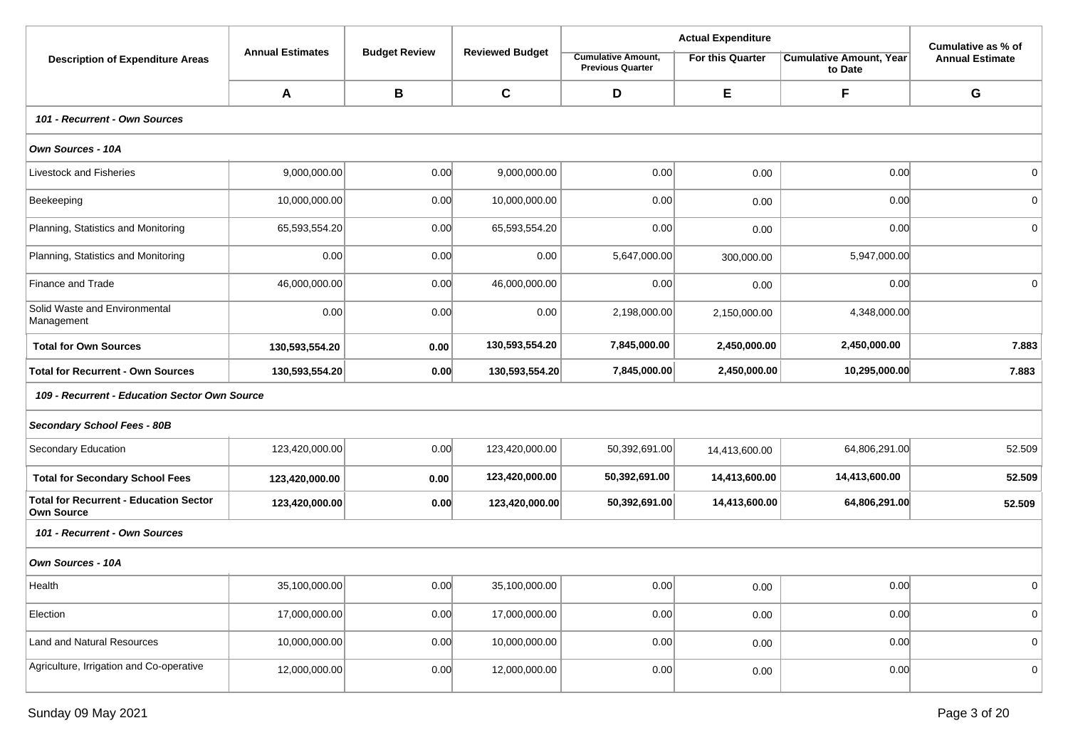|                                                                    |                         |                      |                        |                                                      | <b>Actual Expenditure</b> |                                           | Cumulative as % of     |  |  |  |  |  |
|--------------------------------------------------------------------|-------------------------|----------------------|------------------------|------------------------------------------------------|---------------------------|-------------------------------------------|------------------------|--|--|--|--|--|
| <b>Description of Expenditure Areas</b>                            | <b>Annual Estimates</b> | <b>Budget Review</b> | <b>Reviewed Budget</b> | <b>Cumulative Amount,</b><br><b>Previous Quarter</b> | For this Quarter          | <b>Cumulative Amount, Year</b><br>to Date | <b>Annual Estimate</b> |  |  |  |  |  |
|                                                                    | A                       | B                    | $\mathbf c$            | D                                                    | E                         | F                                         | G                      |  |  |  |  |  |
| 101 - Recurrent - Own Sources                                      |                         |                      |                        |                                                      |                           |                                           |                        |  |  |  |  |  |
| Own Sources - 10A                                                  |                         |                      |                        |                                                      |                           |                                           |                        |  |  |  |  |  |
| Livestock and Fisheries                                            | 9,000,000.00            | 0.00                 | 9,000,000.00           | 0.00                                                 | 0.00                      | 0.00                                      | 0 <sup>1</sup>         |  |  |  |  |  |
| Beekeeping                                                         | 10,000,000.00           | 0.00                 | 10,000,000.00          | 0.00                                                 | 0.00                      | 0.00                                      | 0                      |  |  |  |  |  |
| Planning, Statistics and Monitoring                                | 65,593,554.20           | 0.00                 | 65,593,554.20          | 0.00                                                 | 0.00                      | 0.00                                      | 0 <sup>1</sup>         |  |  |  |  |  |
| Planning, Statistics and Monitoring                                | 0.00                    | 0.00                 | 0.00                   | 5,647,000.00                                         | 300,000.00                | 5,947,000.00                              |                        |  |  |  |  |  |
| Finance and Trade                                                  | 46,000,000.00           | 0.00                 | 46,000,000.00          | 0.00                                                 | 0.00                      | 0.00                                      | 0 <sup>1</sup>         |  |  |  |  |  |
| Solid Waste and Environmental<br>Management                        | 0.00                    | 0.00                 | 0.00                   | 2,198,000.00                                         | 2,150,000.00              | 4,348,000.00                              |                        |  |  |  |  |  |
| <b>Total for Own Sources</b>                                       | 130,593,554.20          | 0.00                 | 130,593,554.20         | 7,845,000.00                                         | 2,450,000.00              | 2,450,000.00                              | 7.883                  |  |  |  |  |  |
| <b>Total for Recurrent - Own Sources</b>                           | 130,593,554.20          | 0.00                 | 130,593,554.20         | 7,845,000.00                                         | 2,450,000.00              | 10,295,000.00                             | 7.883                  |  |  |  |  |  |
| 109 - Recurrent - Education Sector Own Source                      |                         |                      |                        |                                                      |                           |                                           |                        |  |  |  |  |  |
| Secondary School Fees - 80B                                        |                         |                      |                        |                                                      |                           |                                           |                        |  |  |  |  |  |
| Secondary Education                                                | 123,420,000.00          | 0.00                 | 123,420,000.00         | 50,392,691.00                                        | 14,413,600.00             | 64,806,291.00                             | 52.509                 |  |  |  |  |  |
| <b>Total for Secondary School Fees</b>                             | 123,420,000.00          | 0.00                 | 123,420,000.00         | 50,392,691.00                                        | 14,413,600.00             | 14,413,600.00                             | 52.509                 |  |  |  |  |  |
| <b>Total for Recurrent - Education Sector</b><br><b>Own Source</b> | 123,420,000.00          | 0.00                 | 123,420,000.00         | 50,392,691.00                                        | 14,413,600.00             | 64,806,291.00                             | 52.509                 |  |  |  |  |  |
| 101 - Recurrent - Own Sources                                      |                         |                      |                        |                                                      |                           |                                           |                        |  |  |  |  |  |
| Own Sources - 10A                                                  |                         |                      |                        |                                                      |                           |                                           |                        |  |  |  |  |  |
| Health                                                             | 35,100,000.00           | 0.00                 | 35,100,000.00          | 0.00                                                 | 0.00                      | 0.00                                      | $\mathbf 0$            |  |  |  |  |  |
| Election                                                           | 17,000,000.00           | 0.00                 | 17,000,000.00          | 0.00                                                 | 0.00                      | 0.00                                      | 0                      |  |  |  |  |  |
| Land and Natural Resources                                         | 10,000,000.00           | 0.00                 | 10,000,000.00          | 0.00                                                 | 0.00                      | 0.00                                      | 0 <sup>1</sup>         |  |  |  |  |  |
| Agriculture, Irrigation and Co-operative                           | 12,000,000.00           | 0.00                 | 12,000,000.00          | 0.00                                                 | 0.00                      | 0.00                                      | 0                      |  |  |  |  |  |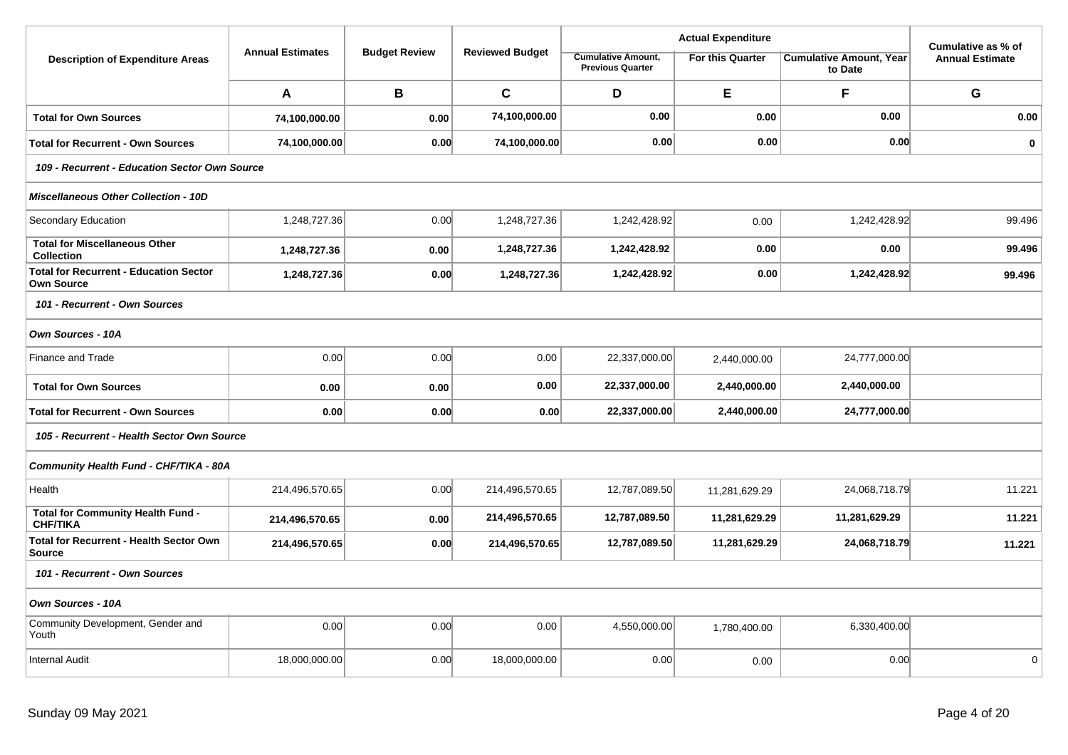|                                                                    |                         |                      |                        | <b>Actual Expenditure</b>                            |                         | Cumulative as % of                        |                        |  |  |  |
|--------------------------------------------------------------------|-------------------------|----------------------|------------------------|------------------------------------------------------|-------------------------|-------------------------------------------|------------------------|--|--|--|
| <b>Description of Expenditure Areas</b>                            | <b>Annual Estimates</b> | <b>Budget Review</b> | <b>Reviewed Budget</b> | <b>Cumulative Amount,</b><br><b>Previous Quarter</b> | <b>For this Quarter</b> | <b>Cumulative Amount, Year</b><br>to Date | <b>Annual Estimate</b> |  |  |  |
|                                                                    | A                       | В                    | $\mathbf C$            | D                                                    | E                       | F                                         | G                      |  |  |  |
| <b>Total for Own Sources</b>                                       | 74,100,000.00           | 0.00                 | 74,100,000.00          | 0.00                                                 | 0.00                    | 0.00                                      | 0.00                   |  |  |  |
| <b>Total for Recurrent - Own Sources</b>                           | 74,100,000.00           | 0.00                 | 74,100,000.00          | 0.00                                                 | 0.00                    | 0.00                                      | $\mathbf 0$            |  |  |  |
| 109 - Recurrent - Education Sector Own Source                      |                         |                      |                        |                                                      |                         |                                           |                        |  |  |  |
| <b>Miscellaneous Other Collection - 10D</b>                        |                         |                      |                        |                                                      |                         |                                           |                        |  |  |  |
| Secondary Education                                                | 1,248,727.36            | 0.00                 | 1,248,727.36           | 1,242,428.92                                         | 0.00                    | 1,242,428.92                              | 99.496                 |  |  |  |
| <b>Total for Miscellaneous Other</b><br><b>Collection</b>          | 1,248,727.36            | 0.00                 | 1,248,727.36           | 1,242,428.92                                         | 0.00                    | 0.00                                      | 99.496                 |  |  |  |
| <b>Total for Recurrent - Education Sector</b><br><b>Own Source</b> | 1,248,727.36            | 0.00                 | 1,248,727.36           | 1,242,428.92                                         | 0.00                    | 1,242,428.92                              | 99.496                 |  |  |  |
| 101 - Recurrent - Own Sources                                      |                         |                      |                        |                                                      |                         |                                           |                        |  |  |  |
| Own Sources - 10A                                                  |                         |                      |                        |                                                      |                         |                                           |                        |  |  |  |
| Finance and Trade                                                  | 0.00                    | 0.00                 | 0.00                   | 22,337,000.00                                        | 2,440,000.00            | 24,777,000.00                             |                        |  |  |  |
| <b>Total for Own Sources</b>                                       | 0.00                    | 0.00                 | 0.00                   | 22,337,000.00                                        | 2,440,000.00            | 2,440,000.00                              |                        |  |  |  |
| <b>Total for Recurrent - Own Sources</b>                           | 0.00                    | 0.00                 | 0.00                   | 22,337,000.00                                        | 2,440,000.00            | 24,777,000.00                             |                        |  |  |  |
| 105 - Recurrent - Health Sector Own Source                         |                         |                      |                        |                                                      |                         |                                           |                        |  |  |  |
| Community Health Fund - CHF/TIKA - 80A                             |                         |                      |                        |                                                      |                         |                                           |                        |  |  |  |
| Health                                                             | 214,496,570.65          | 0.00                 | 214,496,570.65         | 12,787,089.50                                        | 11,281,629.29           | 24,068,718.79                             | 11.221                 |  |  |  |
| Total for Community Health Fund -<br><b>CHF/TIKA</b>               | 214,496,570.65          | 0.00                 | 214,496,570.65         | 12,787,089.50                                        | 11,281,629.29           | 11,281,629.29                             | 11.221                 |  |  |  |
| <b>Total for Recurrent - Health Sector Own</b><br><b>Source</b>    | 214,496,570.65          | 0.00                 | 214,496,570.65         | 12,787,089.50                                        | 11,281,629.29           | 24,068,718.79                             | 11.221                 |  |  |  |
| 101 - Recurrent - Own Sources                                      |                         |                      |                        |                                                      |                         |                                           |                        |  |  |  |
| Own Sources - 10A                                                  |                         |                      |                        |                                                      |                         |                                           |                        |  |  |  |
| Community Development, Gender and<br>Youth                         | 0.00                    | 0.00                 | 0.00                   | 4,550,000.00                                         | 1,780,400.00            | 6,330,400.00                              |                        |  |  |  |
| <b>Internal Audit</b>                                              | 18,000,000.00           | 0.00                 | 18,000,000.00          | 0.00                                                 | 0.00                    | 0.00                                      | $\mathbf 0$            |  |  |  |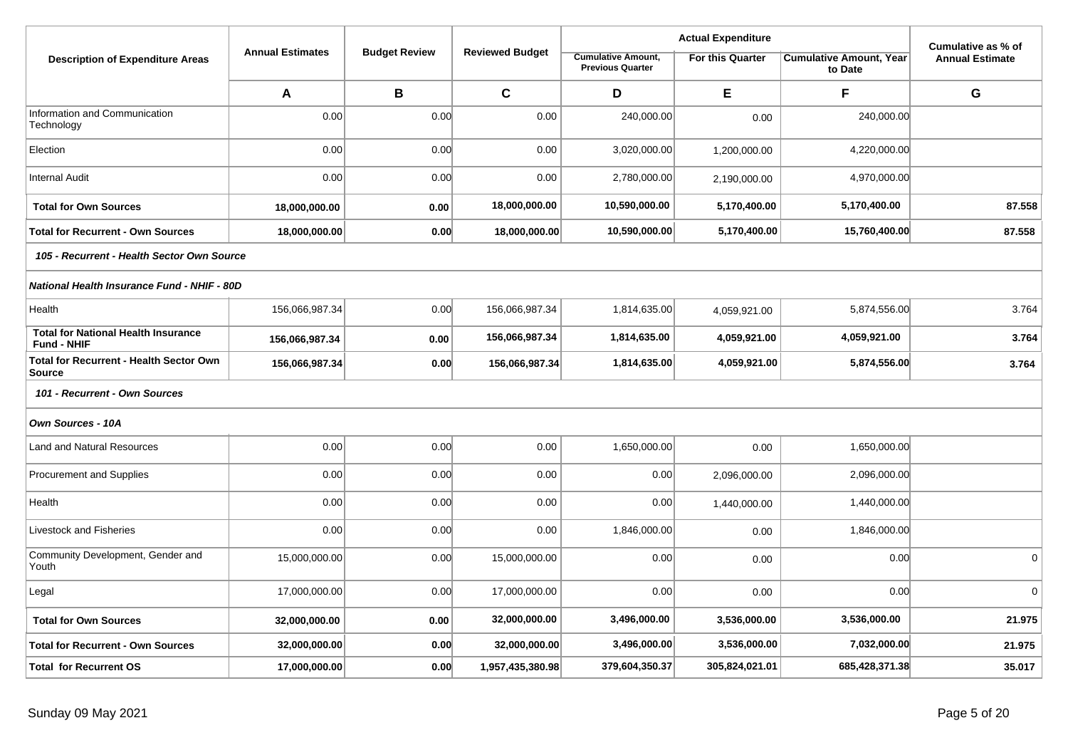|                                                           |                         |                      |                        |                                                      |                  | Cumulative as % of                        |                        |  |  |  |
|-----------------------------------------------------------|-------------------------|----------------------|------------------------|------------------------------------------------------|------------------|-------------------------------------------|------------------------|--|--|--|
| <b>Description of Expenditure Areas</b>                   | <b>Annual Estimates</b> | <b>Budget Review</b> | <b>Reviewed Budget</b> | <b>Cumulative Amount,</b><br><b>Previous Quarter</b> | For this Quarter | <b>Cumulative Amount, Year</b><br>to Date | <b>Annual Estimate</b> |  |  |  |
|                                                           | Α                       | В                    | $\mathbf c$            | D                                                    | Е                | F                                         | G                      |  |  |  |
| Information and Communication<br>Technology               | 0.00                    | 0.00                 | 0.00                   | 240,000.00                                           | 0.00             | 240,000.00                                |                        |  |  |  |
| Election                                                  | 0.00                    | 0.00                 | 0.00                   | 3,020,000.00                                         | 1,200,000.00     | 4,220,000.00                              |                        |  |  |  |
| <b>Internal Audit</b>                                     | 0.00                    | 0.00                 | 0.00                   | 2,780,000.00                                         | 2,190,000.00     | 4,970,000.00                              |                        |  |  |  |
| <b>Total for Own Sources</b>                              | 18,000,000.00           | 0.00                 | 18,000,000.00          | 10,590,000.00                                        | 5,170,400.00     | 5,170,400.00                              | 87.558                 |  |  |  |
| <b>Total for Recurrent - Own Sources</b>                  | 18,000,000.00           | 0.00                 | 18,000,000.00          | 10,590,000.00                                        | 5,170,400.00     | 15,760,400.00                             | 87.558                 |  |  |  |
| 105 - Recurrent - Health Sector Own Source                |                         |                      |                        |                                                      |                  |                                           |                        |  |  |  |
| National Health Insurance Fund - NHIF - 80D               |                         |                      |                        |                                                      |                  |                                           |                        |  |  |  |
| Health                                                    | 156,066,987.34          | 0.00                 | 156,066,987.34         | 1,814,635.00                                         | 4,059,921.00     | 5,874,556.00                              | 3.764                  |  |  |  |
| <b>Total for National Health Insurance</b><br>Fund - NHIF | 156,066,987.34          | 0.00                 | 156,066,987.34         | 1,814,635.00                                         | 4,059,921.00     | 4,059,921.00                              | 3.764                  |  |  |  |
| <b>Total for Recurrent - Health Sector Own</b><br>Source  | 156,066,987.34          | 0.00                 | 156,066,987.34         | 1,814,635.00                                         | 4,059,921.00     | 5,874,556.00                              | 3.764                  |  |  |  |
| 101 - Recurrent - Own Sources                             |                         |                      |                        |                                                      |                  |                                           |                        |  |  |  |
| Own Sources - 10A                                         |                         |                      |                        |                                                      |                  |                                           |                        |  |  |  |
| <b>Land and Natural Resources</b>                         | 0.00                    | 0.00                 | 0.00                   | 1,650,000.00                                         | 0.00             | 1,650,000.00                              |                        |  |  |  |
| <b>Procurement and Supplies</b>                           | 0.00                    | 0.00                 | 0.00                   | 0.00                                                 | 2,096,000.00     | 2,096,000.00                              |                        |  |  |  |
| Health                                                    | 0.00                    | 0.00                 | 0.00                   | 0.00                                                 | 1,440,000.00     | 1,440,000.00                              |                        |  |  |  |
| Livestock and Fisheries                                   | 0.00                    | 0.00                 | 0.00                   | 1,846,000.00                                         | 0.00             | 1,846,000.00                              |                        |  |  |  |
| Community Development, Gender and<br>Youth                | 15,000,000.00           | 0.00                 | 15,000,000.00          | 0.00                                                 | 0.00             | 0.00                                      | $\mathbf 0$            |  |  |  |
| Legal                                                     | 17,000,000.00           | 0.00                 | 17,000,000.00          | 0.00                                                 | 0.00             | 0.00                                      | $\Omega$               |  |  |  |
| <b>Total for Own Sources</b>                              | 32,000,000.00           | 0.00                 | 32,000,000.00          | 3,496,000.00                                         | 3,536,000.00     | 3,536,000.00                              | 21.975                 |  |  |  |
| <b>Total for Recurrent - Own Sources</b>                  | 32,000,000.00           | 0.00                 | 32,000,000.00          | 3,496,000.00                                         | 3,536,000.00     | 7,032,000.00                              | 21.975                 |  |  |  |
| <b>Total for Recurrent OS</b>                             | 17,000,000.00           | 0.00                 | 1,957,435,380.98       | 379,604,350.37                                       | 305,824,021.01   | 685,428,371.38                            | 35.017                 |  |  |  |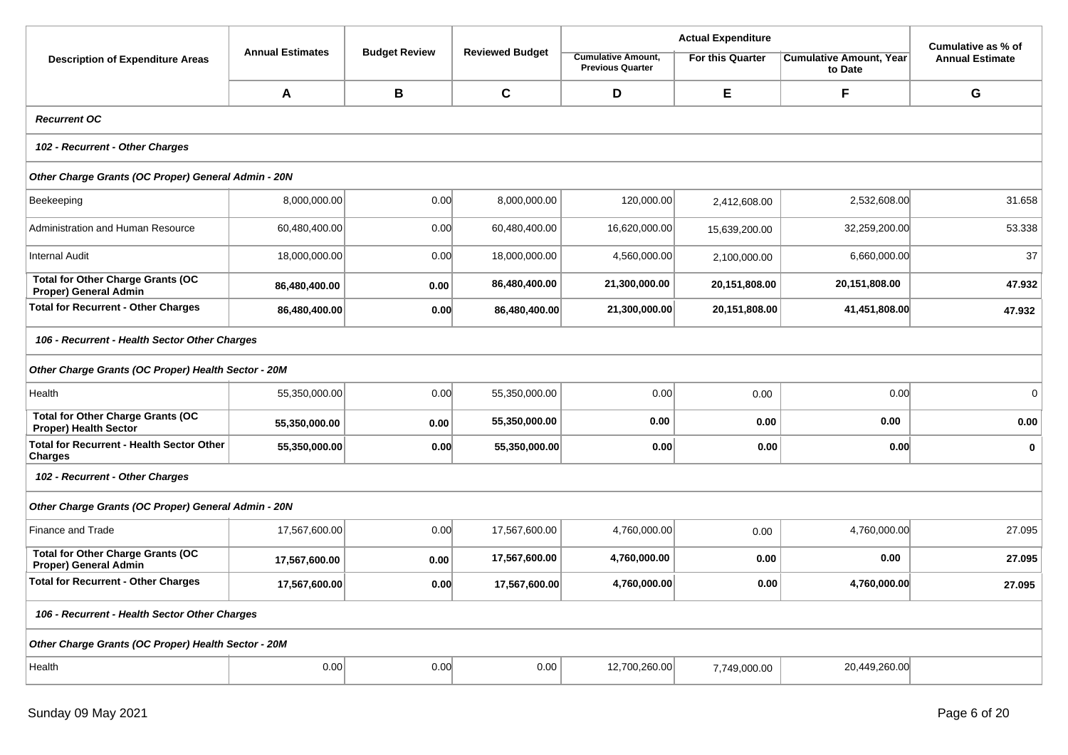|                                                                          |                                               |                      |                        |                                                      | <b>Actual Expenditure</b> |                                           | Cumulative as % of     |  |  |  |  |
|--------------------------------------------------------------------------|-----------------------------------------------|----------------------|------------------------|------------------------------------------------------|---------------------------|-------------------------------------------|------------------------|--|--|--|--|
| <b>Description of Expenditure Areas</b>                                  | <b>Annual Estimates</b>                       | <b>Budget Review</b> | <b>Reviewed Budget</b> | <b>Cumulative Amount,</b><br><b>Previous Quarter</b> | <b>For this Quarter</b>   | <b>Cumulative Amount, Year</b><br>to Date | <b>Annual Estimate</b> |  |  |  |  |
|                                                                          | Α                                             | B                    | $\mathbf c$            | D                                                    | E                         | F                                         | G                      |  |  |  |  |
| <b>Recurrent OC</b>                                                      |                                               |                      |                        |                                                      |                           |                                           |                        |  |  |  |  |
| 102 - Recurrent - Other Charges                                          |                                               |                      |                        |                                                      |                           |                                           |                        |  |  |  |  |
| Other Charge Grants (OC Proper) General Admin - 20N                      |                                               |                      |                        |                                                      |                           |                                           |                        |  |  |  |  |
| Beekeeping                                                               | 8,000,000.00                                  | 0.00                 | 8,000,000.00           | 120,000.00                                           | 2,412,608.00              | 2,532,608.00                              | 31.658                 |  |  |  |  |
| Administration and Human Resource                                        | 60,480,400.00                                 | 0.00                 | 60,480,400.00          | 16,620,000.00                                        | 15,639,200.00             | 32,259,200.00                             | 53.338                 |  |  |  |  |
| Internal Audit                                                           | 18,000,000.00                                 | 0.00                 | 18,000,000.00          | 4,560,000.00                                         | 2,100,000.00              | 6,660,000.00                              | 37                     |  |  |  |  |
| <b>Total for Other Charge Grants (OC</b><br>Proper) General Admin        | 86,480,400.00                                 | 0.00                 | 86,480,400.00          | 21,300,000.00                                        | 20,151,808.00             | 20,151,808.00                             | 47.932                 |  |  |  |  |
| <b>Total for Recurrent - Other Charges</b>                               | 86,480,400.00                                 | 0.00                 | 86,480,400.00          | 21,300,000.00                                        | 20,151,808.00             | 41,451,808.00                             | 47.932                 |  |  |  |  |
| 106 - Recurrent - Health Sector Other Charges                            |                                               |                      |                        |                                                      |                           |                                           |                        |  |  |  |  |
| Other Charge Grants (OC Proper) Health Sector - 20M                      |                                               |                      |                        |                                                      |                           |                                           |                        |  |  |  |  |
| Health                                                                   | 55,350,000.00                                 | 0.00                 | 55,350,000.00          | 0.00                                                 | 0.00                      | 0.00                                      | $\mathbf 0$            |  |  |  |  |
| <b>Total for Other Charge Grants (OC</b><br><b>Proper) Health Sector</b> | 55,350,000.00                                 | 0.00                 | 55,350,000.00          | 0.00                                                 | 0.00                      | 0.00                                      | 0.00                   |  |  |  |  |
| <b>Total for Recurrent - Health Sector Other</b><br><b>Charges</b>       | 55,350,000.00                                 | 0.00                 | 55,350,000.00          | 0.00                                                 | 0.00                      | 0.00                                      | $\mathbf 0$            |  |  |  |  |
| 102 - Recurrent - Other Charges                                          |                                               |                      |                        |                                                      |                           |                                           |                        |  |  |  |  |
| Other Charge Grants (OC Proper) General Admin - 20N                      |                                               |                      |                        |                                                      |                           |                                           |                        |  |  |  |  |
| Finance and Trade                                                        | 17,567,600.00                                 | 0.00                 | 17,567,600.00          | 4,760,000.00                                         | 0.00                      | 4,760,000.00                              | 27.095                 |  |  |  |  |
| <b>Total for Other Charge Grants (OC</b><br><b>Proper) General Admin</b> | 17,567,600.00                                 | 0.00                 | 17,567,600.00          | 4,760,000.00                                         | 0.00                      | 0.00                                      | 27.095                 |  |  |  |  |
| <b>Total for Recurrent - Other Charges</b>                               | 17,567,600.00                                 | 0.00                 | 17,567,600.00          | 4,760,000.00                                         | 0.00                      | 4,760,000.00                              | 27.095                 |  |  |  |  |
|                                                                          | 106 - Recurrent - Health Sector Other Charges |                      |                        |                                                      |                           |                                           |                        |  |  |  |  |
| Other Charge Grants (OC Proper) Health Sector - 20M                      |                                               |                      |                        |                                                      |                           |                                           |                        |  |  |  |  |
| Health                                                                   | 0.00                                          | 0.00                 | 0.00                   | 12,700,260.00                                        | 7,749,000.00              | 20,449,260.00                             |                        |  |  |  |  |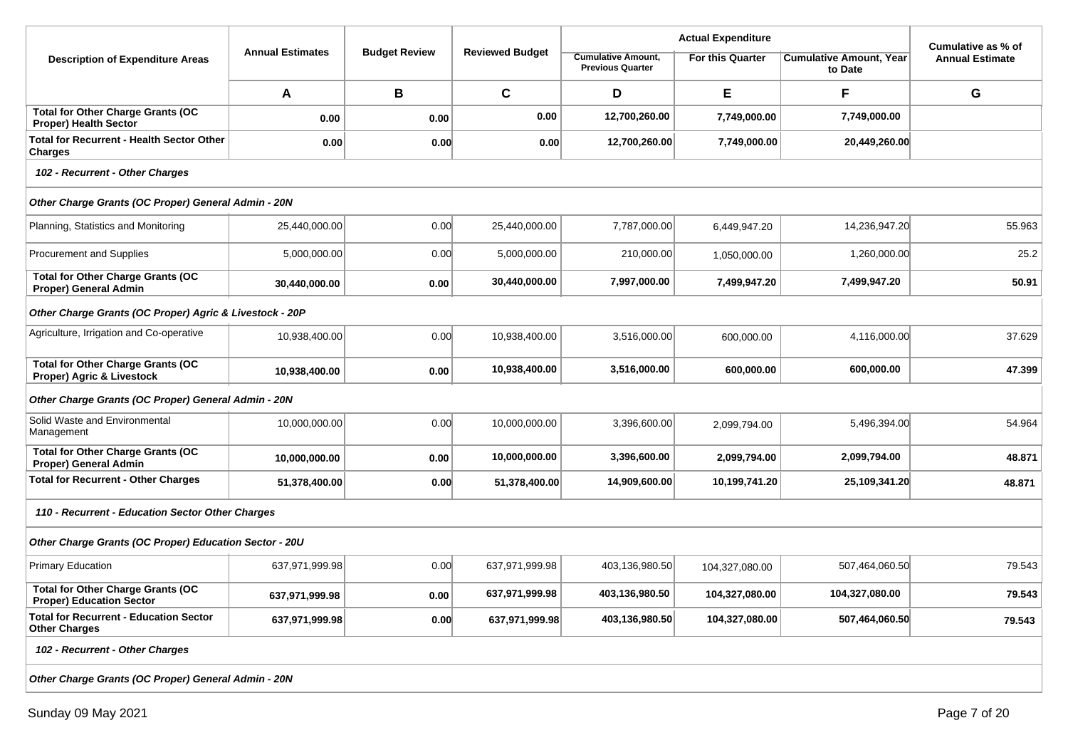|                                                                             |                         |                      |                        |                                                      | Cumulative as % of      |                                           |                        |  |  |  |
|-----------------------------------------------------------------------------|-------------------------|----------------------|------------------------|------------------------------------------------------|-------------------------|-------------------------------------------|------------------------|--|--|--|
| <b>Description of Expenditure Areas</b>                                     | <b>Annual Estimates</b> | <b>Budget Review</b> | <b>Reviewed Budget</b> | <b>Cumulative Amount,</b><br><b>Previous Quarter</b> | <b>For this Quarter</b> | <b>Cumulative Amount, Year</b><br>to Date | <b>Annual Estimate</b> |  |  |  |
|                                                                             | A                       | B                    | $\mathbf c$            | D                                                    | Е                       | F                                         | G                      |  |  |  |
| <b>Total for Other Charge Grants (OC</b><br><b>Proper) Health Sector</b>    | 0.00                    | 0.00                 | 0.00                   | 12,700,260.00                                        | 7,749,000.00            | 7,749,000.00                              |                        |  |  |  |
| <b>Total for Recurrent - Health Sector Other</b><br><b>Charges</b>          | 0.00                    | 0.00                 | 0.00                   | 12,700,260.00                                        | 7,749,000.00            | 20,449,260.00                             |                        |  |  |  |
| 102 - Recurrent - Other Charges                                             |                         |                      |                        |                                                      |                         |                                           |                        |  |  |  |
| Other Charge Grants (OC Proper) General Admin - 20N                         |                         |                      |                        |                                                      |                         |                                           |                        |  |  |  |
| Planning, Statistics and Monitoring                                         | 25,440,000.00           | 0.00                 | 25,440,000.00          | 7,787,000.00                                         | 6,449,947.20            | 14,236,947.20                             | 55.963                 |  |  |  |
| Procurement and Supplies                                                    | 5,000,000.00            | 0.00                 | 5,000,000.00           | 210,000.00                                           | 1,050,000.00            | 1,260,000.00                              | 25.2                   |  |  |  |
| <b>Total for Other Charge Grants (OC</b><br><b>Proper) General Admin</b>    | 30,440,000.00           | 0.00                 | 30,440,000.00          | 7,997,000.00                                         | 7,499,947.20            | 7,499,947.20                              | 50.91                  |  |  |  |
| Other Charge Grants (OC Proper) Agric & Livestock - 20P                     |                         |                      |                        |                                                      |                         |                                           |                        |  |  |  |
| Agriculture, Irrigation and Co-operative                                    | 10,938,400.00           | 0.00                 | 10,938,400.00          | 3,516,000.00                                         | 600,000.00              | 4,116,000.00                              | 37.629                 |  |  |  |
| <b>Total for Other Charge Grants (OC</b><br>Proper) Agric & Livestock       | 10,938,400.00           | 0.00                 | 10,938,400.00          | 3,516,000.00                                         | 600,000.00              | 600,000.00                                | 47.399                 |  |  |  |
| Other Charge Grants (OC Proper) General Admin - 20N                         |                         |                      |                        |                                                      |                         |                                           |                        |  |  |  |
| Solid Waste and Environmental<br>Management                                 | 10,000,000.00           | 0.00                 | 10,000,000.00          | 3,396,600.00                                         | 2,099,794.00            | 5,496,394.00                              | 54.964                 |  |  |  |
| <b>Total for Other Charge Grants (OC</b><br>Proper) General Admin           | 10,000,000.00           | 0.00                 | 10,000,000.00          | 3,396,600.00                                         | 2,099,794.00            | 2,099,794.00                              | 48.871                 |  |  |  |
| <b>Total for Recurrent - Other Charges</b>                                  | 51,378,400.00           | 0.00                 | 51,378,400.00          | 14,909,600.00                                        | 10,199,741.20           | 25,109,341.20                             | 48.871                 |  |  |  |
| 110 - Recurrent - Education Sector Other Charges                            |                         |                      |                        |                                                      |                         |                                           |                        |  |  |  |
| Other Charge Grants (OC Proper) Education Sector - 20U                      |                         |                      |                        |                                                      |                         |                                           |                        |  |  |  |
| <b>Primary Education</b>                                                    | 637,971,999.98          | 0.00                 | 637,971,999.98         | 403,136,980.50                                       | 104,327,080.00          | 507,464,060.50                            | 79.543                 |  |  |  |
| <b>Total for Other Charge Grants (OC</b><br><b>Proper) Education Sector</b> | 637,971,999.98          | $0.00\,$             | 637,971,999.98         | 403,136,980.50                                       | 104,327,080.00          | 104,327,080.00                            | 79.543                 |  |  |  |
| <b>Total for Recurrent - Education Sector</b><br><b>Other Charges</b>       | 637,971,999.98          | 0.00                 | 637,971,999.98         | 403,136,980.50                                       | 104,327,080.00          | 507,464,060.50                            | 79.543                 |  |  |  |
| 102 - Recurrent - Other Charges                                             |                         |                      |                        |                                                      |                         |                                           |                        |  |  |  |
| Other Charge Grants (OC Proper) General Admin - 20N                         |                         |                      |                        |                                                      |                         |                                           |                        |  |  |  |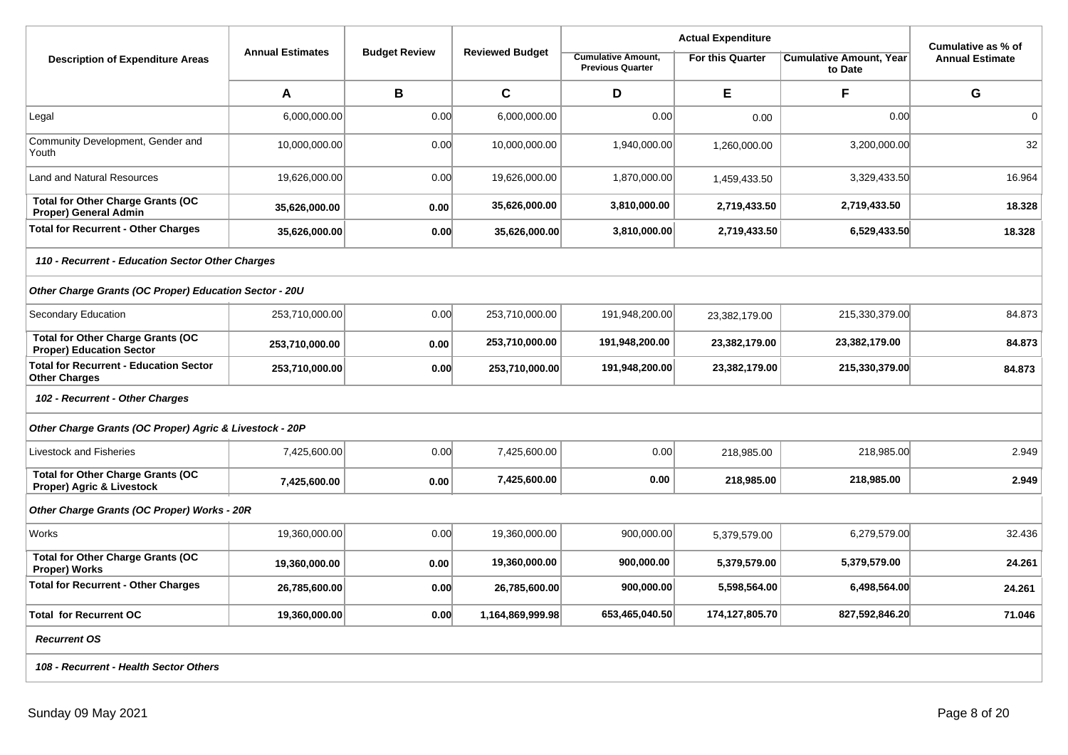|                                                                             |                         |                      |                        |                                                      |                         | Cumulative as % of                        |                        |  |  |
|-----------------------------------------------------------------------------|-------------------------|----------------------|------------------------|------------------------------------------------------|-------------------------|-------------------------------------------|------------------------|--|--|
| <b>Description of Expenditure Areas</b>                                     | <b>Annual Estimates</b> | <b>Budget Review</b> | <b>Reviewed Budget</b> | <b>Cumulative Amount,</b><br><b>Previous Quarter</b> | <b>For this Quarter</b> | <b>Cumulative Amount. Year</b><br>to Date | <b>Annual Estimate</b> |  |  |
|                                                                             | A                       | В                    | $\mathbf C$            | D                                                    | E                       | F                                         | G                      |  |  |
| Legal                                                                       | 6,000,000.00            | 0.00                 | 6,000,000.00           | 0.00                                                 | 0.00                    | 0.00                                      | $\mathbf 0$            |  |  |
| Community Development, Gender and<br>Youth                                  | 10,000,000.00           | 0.00                 | 10,000,000.00          | 1,940,000.00                                         | 1,260,000.00            | 3,200,000.00                              | 32                     |  |  |
| <b>Land and Natural Resources</b>                                           | 19,626,000.00           | 0.00                 | 19,626,000.00          | 1,870,000.00                                         | 1,459,433.50            | 3,329,433.50                              | 16.964                 |  |  |
| <b>Total for Other Charge Grants (OC</b><br>Proper) General Admin           | 35,626,000.00           | 0.00                 | 35,626,000.00          | 3,810,000.00                                         | 2,719,433.50            | 2,719,433.50                              | 18.328                 |  |  |
| <b>Total for Recurrent - Other Charges</b>                                  | 35,626,000.00           | 0.00                 | 35,626,000.00          | 3,810,000.00                                         | 2,719,433.50            | 6,529,433.50                              | 18.328                 |  |  |
| 110 - Recurrent - Education Sector Other Charges                            |                         |                      |                        |                                                      |                         |                                           |                        |  |  |
| Other Charge Grants (OC Proper) Education Sector - 20U                      |                         |                      |                        |                                                      |                         |                                           |                        |  |  |
| Secondary Education                                                         | 253,710,000.00          | 0.00                 | 253,710,000.00         | 191,948,200.00                                       | 23,382,179.00           | 215,330,379.00                            | 84.873                 |  |  |
| <b>Total for Other Charge Grants (OC</b><br><b>Proper) Education Sector</b> | 253,710,000.00          | 0.00                 | 253,710,000.00         | 191,948,200.00                                       | 23,382,179.00           | 23,382,179.00                             | 84.873                 |  |  |
| <b>Total for Recurrent - Education Sector</b><br><b>Other Charges</b>       | 253,710,000.00          | 0.00                 | 253,710,000.00         | 191,948,200.00                                       | 23,382,179.00           | 215,330,379.00                            | 84.873                 |  |  |
| 102 - Recurrent - Other Charges                                             |                         |                      |                        |                                                      |                         |                                           |                        |  |  |
| Other Charge Grants (OC Proper) Agric & Livestock - 20P                     |                         |                      |                        |                                                      |                         |                                           |                        |  |  |
| Livestock and Fisheries                                                     | 7,425,600.00            | 0.00                 | 7,425,600.00           | 0.00                                                 | 218,985.00              | 218,985.00                                | 2.949                  |  |  |
| <b>Total for Other Charge Grants (OC</b><br>Proper) Agric & Livestock       | 7,425,600.00            | 0.00                 | 7,425,600.00           | 0.00                                                 | 218,985.00              | 218,985.00                                | 2.949                  |  |  |
| Other Charge Grants (OC Proper) Works - 20R                                 |                         |                      |                        |                                                      |                         |                                           |                        |  |  |
| Works                                                                       | 19,360,000.00           | 0.00                 | 19,360,000.00          | 900,000.00                                           | 5,379,579.00            | 6,279,579.00                              | 32.436                 |  |  |
| <b>Total for Other Charge Grants (OC</b><br>Proper) Works                   | 19,360,000.00           | 0.00                 | 19,360,000.00          | 900,000.00                                           | 5,379,579.00            | 5,379,579.00                              | 24.261                 |  |  |
| <b>Total for Recurrent - Other Charges</b>                                  | 26,785,600.00           | 0.00                 | 26,785,600.00          | 900,000.00                                           | 5,598,564.00            | 6,498,564.00                              | 24.261                 |  |  |
| <b>Total for Recurrent OC</b>                                               | 19,360,000.00           | 0.00                 | 1,164,869,999.98       | 653,465,040.50                                       | 174,127,805.70          | 827,592,846.20                            | 71.046                 |  |  |
| <b>Recurrent OS</b>                                                         |                         |                      |                        |                                                      |                         |                                           |                        |  |  |
| 108 - Recurrent - Health Sector Others                                      |                         |                      |                        |                                                      |                         |                                           |                        |  |  |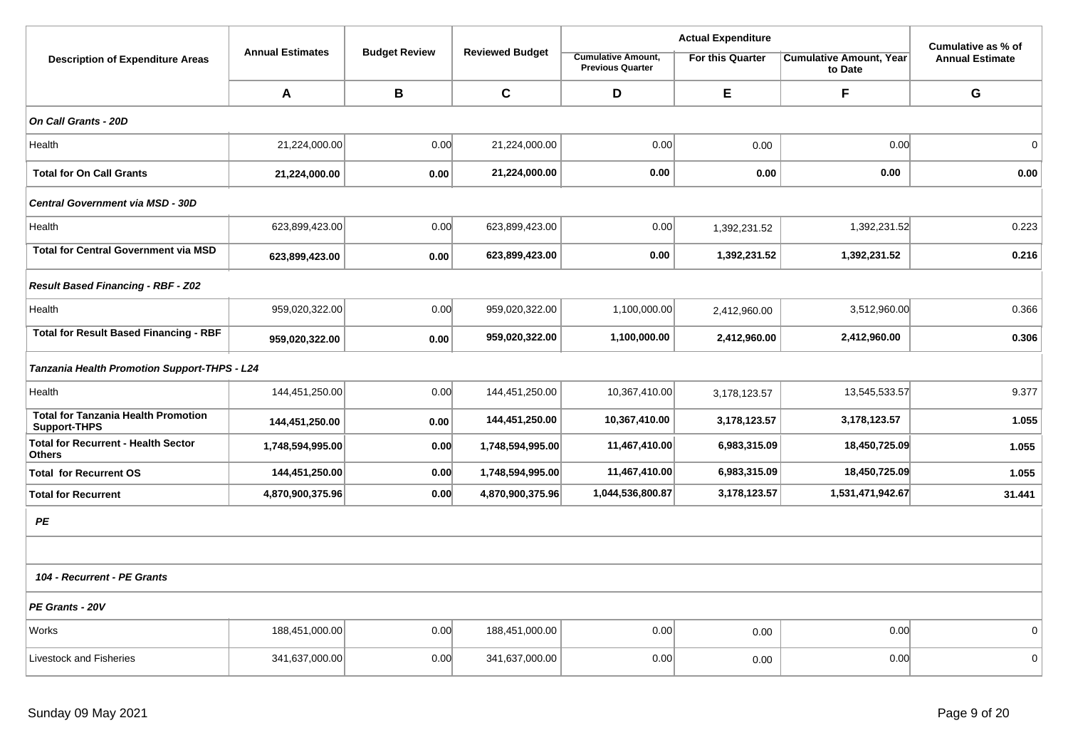|                                                                   |                         |                      | <b>Reviewed Budget</b> |                                                      |                         | Cumulative as % of                        |                        |
|-------------------------------------------------------------------|-------------------------|----------------------|------------------------|------------------------------------------------------|-------------------------|-------------------------------------------|------------------------|
| <b>Description of Expenditure Areas</b>                           | <b>Annual Estimates</b> | <b>Budget Review</b> |                        | <b>Cumulative Amount,</b><br><b>Previous Quarter</b> | <b>For this Quarter</b> | <b>Cumulative Amount, Year</b><br>to Date | <b>Annual Estimate</b> |
|                                                                   | A                       | B                    | $\mathbf{C}$           | D                                                    | E                       | F                                         | G                      |
| On Call Grants - 20D                                              |                         |                      |                        |                                                      |                         |                                           |                        |
| Health                                                            | 21,224,000.00           | 0.00                 | 21,224,000.00          | 0.00                                                 | 0.00                    | 0.00                                      | 0                      |
| <b>Total for On Call Grants</b>                                   | 21,224,000.00           | 0.00                 | 21,224,000.00          | 0.00                                                 | 0.00                    | 0.00                                      | 0.00                   |
| Central Government via MSD - 30D                                  |                         |                      |                        |                                                      |                         |                                           |                        |
| Health                                                            | 623,899,423.00          | 0.00                 | 623,899,423.00         | 0.00                                                 | 1,392,231.52            | 1,392,231.52                              | 0.223                  |
| <b>Total for Central Government via MSD</b>                       | 623,899,423.00          | 0.00                 | 623,899,423.00         | 0.00                                                 | 1,392,231.52            | 1,392,231.52                              | 0.216                  |
| Result Based Financing - RBF - Z02                                |                         |                      |                        |                                                      |                         |                                           |                        |
| Health                                                            | 959,020,322.00          | 0.00                 | 959,020,322.00         | 1,100,000.00                                         | 2,412,960.00            | 3,512,960.00                              | 0.366                  |
| <b>Total for Result Based Financing - RBF</b>                     | 959,020,322.00          | 0.00                 | 959,020,322.00         | 1,100,000.00                                         | 2,412,960.00            | 2,412,960.00                              | 0.306                  |
| <b>Tanzania Health Promotion Support-THPS - L24</b>               |                         |                      |                        |                                                      |                         |                                           |                        |
| Health                                                            | 144,451,250.00          | 0.00                 | 144,451,250.00         | 10,367,410.00                                        | 3,178,123.57            | 13,545,533.57                             | 9.377                  |
| <b>Total for Tanzania Health Promotion</b><br><b>Support-THPS</b> | 144,451,250.00          | 0.00                 | 144,451,250.00         | 10,367,410.00                                        | 3,178,123.57            | 3,178,123.57                              | 1.055                  |
| <b>Total for Recurrent - Health Sector</b><br><b>Others</b>       | 1,748,594,995.00        | 0.00                 | 1,748,594,995.00       | 11,467,410.00                                        | 6,983,315.09            | 18,450,725.09                             | 1.055                  |
| <b>Total for Recurrent OS</b>                                     | 144,451,250.00          | 0.00                 | 1,748,594,995.00       | 11,467,410.00                                        | 6,983,315.09            | 18,450,725.09                             | 1.055                  |
| <b>Total for Recurrent</b>                                        | 4,870,900,375.96        | 0.00                 | 4,870,900,375.96       | 1,044,536,800.87                                     | 3,178,123.57            | 1,531,471,942.67                          | 31.441                 |
| PE                                                                |                         |                      |                        |                                                      |                         |                                           |                        |
|                                                                   |                         |                      |                        |                                                      |                         |                                           |                        |
| 104 - Recurrent - PE Grants                                       |                         |                      |                        |                                                      |                         |                                           |                        |
| PE Grants - 20V                                                   |                         |                      |                        |                                                      |                         |                                           |                        |
| Works                                                             | 188,451,000.00          | 0.00                 | 188,451,000.00         | 0.00                                                 | 0.00                    | 0.00                                      | $\mathbf 0$            |
| <b>Livestock and Fisheries</b>                                    | 341,637,000.00          | 0.00                 | 341,637,000.00         | 0.00                                                 | 0.00                    | 0.00                                      | 0                      |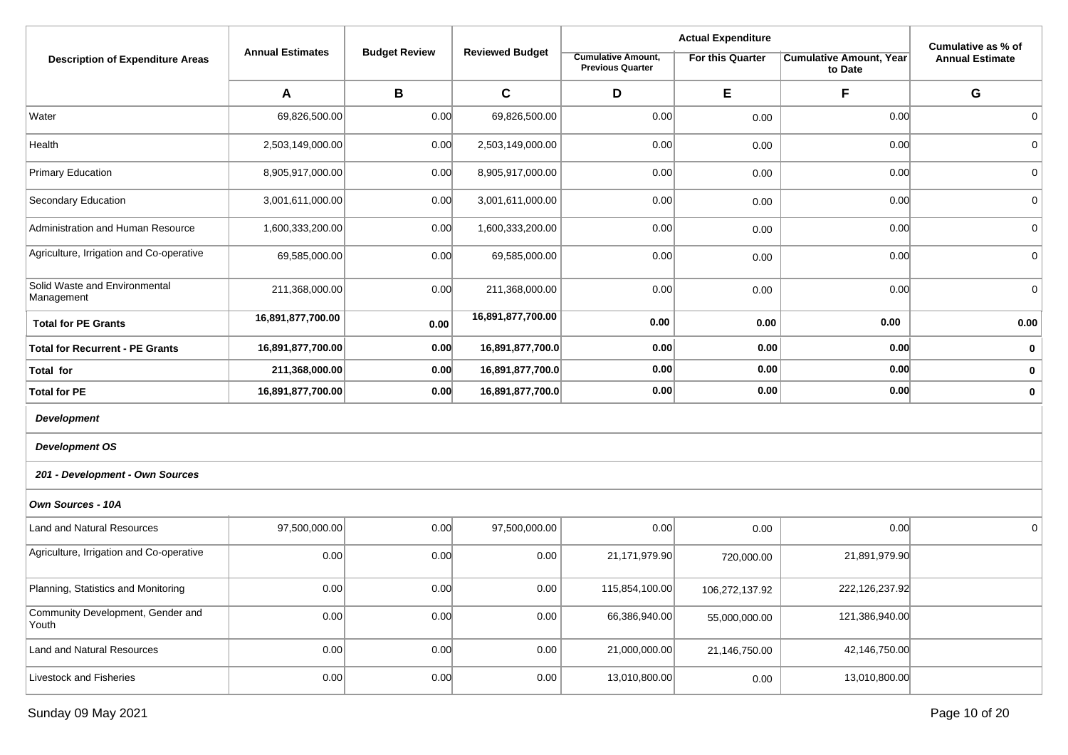|                                             |                         |                      |                        |                                                      |                         | Cumulative as % of                        |                        |
|---------------------------------------------|-------------------------|----------------------|------------------------|------------------------------------------------------|-------------------------|-------------------------------------------|------------------------|
| <b>Description of Expenditure Areas</b>     | <b>Annual Estimates</b> | <b>Budget Review</b> | <b>Reviewed Budget</b> | <b>Cumulative Amount,</b><br><b>Previous Quarter</b> | <b>For this Quarter</b> | <b>Cumulative Amount, Year</b><br>to Date | <b>Annual Estimate</b> |
|                                             | A                       | $\, {\bf B}$         | $\mathbf C$            | D                                                    | E                       | F                                         | G                      |
| Water                                       | 69,826,500.00           | 0.00                 | 69,826,500.00          | 0.00                                                 | 0.00                    | 0.00                                      | 0                      |
| Health                                      | 2,503,149,000.00        | 0.00                 | 2,503,149,000.00       | 0.00                                                 | 0.00                    | 0.00                                      | $\mathbf 0$            |
| <b>Primary Education</b>                    | 8,905,917,000.00        | 0.00                 | 8,905,917,000.00       | 0.00                                                 | 0.00                    | 0.00                                      | $\mathbf 0$            |
| Secondary Education                         | 3,001,611,000.00        | 0.00                 | 3,001,611,000.00       | 0.00                                                 | 0.00                    | 0.00                                      | 0                      |
| Administration and Human Resource           | 1,600,333,200.00        | 0.00                 | 1,600,333,200.00       | 0.00                                                 | 0.00                    | 0.00                                      | $\mathbf 0$            |
| Agriculture, Irrigation and Co-operative    | 69,585,000.00           | 0.00                 | 69,585,000.00          | 0.00                                                 | 0.00                    | 0.00                                      | 0                      |
| Solid Waste and Environmental<br>Management | 211,368,000.00          | 0.00                 | 211,368,000.00         | 0.00                                                 | 0.00                    | 0.00                                      | $\mathbf 0$            |
| <b>Total for PE Grants</b>                  | 16,891,877,700.00       | 0.00                 | 16,891,877,700.00      | 0.00                                                 | 0.00                    | 0.00                                      | 0.00                   |
| <b>Total for Recurrent - PE Grants</b>      | 16,891,877,700.00       | 0.00                 | 16,891,877,700.0       | 0.00                                                 | 0.00                    | 0.00                                      | 0                      |
| <b>Total for</b>                            | 211,368,000.00          | 0.00                 | 16,891,877,700.0       | 0.00                                                 | 0.00                    | 0.00                                      | $\mathbf 0$            |
| <b>Total for PE</b>                         | 16,891,877,700.00       | 0.00                 | 16,891,877,700.0       | 0.00                                                 | 0.00                    | 0.00                                      | $\mathbf 0$            |
| <b>Development</b>                          |                         |                      |                        |                                                      |                         |                                           |                        |
| <b>Development OS</b>                       |                         |                      |                        |                                                      |                         |                                           |                        |
| 201 - Development - Own Sources             |                         |                      |                        |                                                      |                         |                                           |                        |
| Own Sources - 10A                           |                         |                      |                        |                                                      |                         |                                           |                        |
| Land and Natural Resources                  | 97,500,000.00           | 0.00                 | 97,500,000.00          | 0.00                                                 | 0.00                    | 0.00                                      | $\mathbf 0$            |
| Agriculture, Irrigation and Co-operative    | 0.00                    | 0.00                 | 0.00                   | 21,171,979.90                                        | 720,000.00              | 21,891,979.90                             |                        |
| Planning, Statistics and Monitoring         | 0.00                    | 0.00                 | 0.00                   | 115,854,100.00                                       | 106,272,137.92          | 222,126,237.92                            |                        |
| Community Development, Gender and<br>Youth  | 0.00                    | 0.00                 | 0.00                   | 66,386,940.00                                        | 55,000,000.00           | 121,386,940.00                            |                        |
| Land and Natural Resources                  | 0.00                    | 0.00                 | 0.00                   | 21,000,000.00                                        | 21,146,750.00           | 42,146,750.00                             |                        |
| Livestock and Fisheries                     | 0.00                    | 0.00                 | 0.00                   | 13,010,800.00                                        | 0.00                    | 13,010,800.00                             |                        |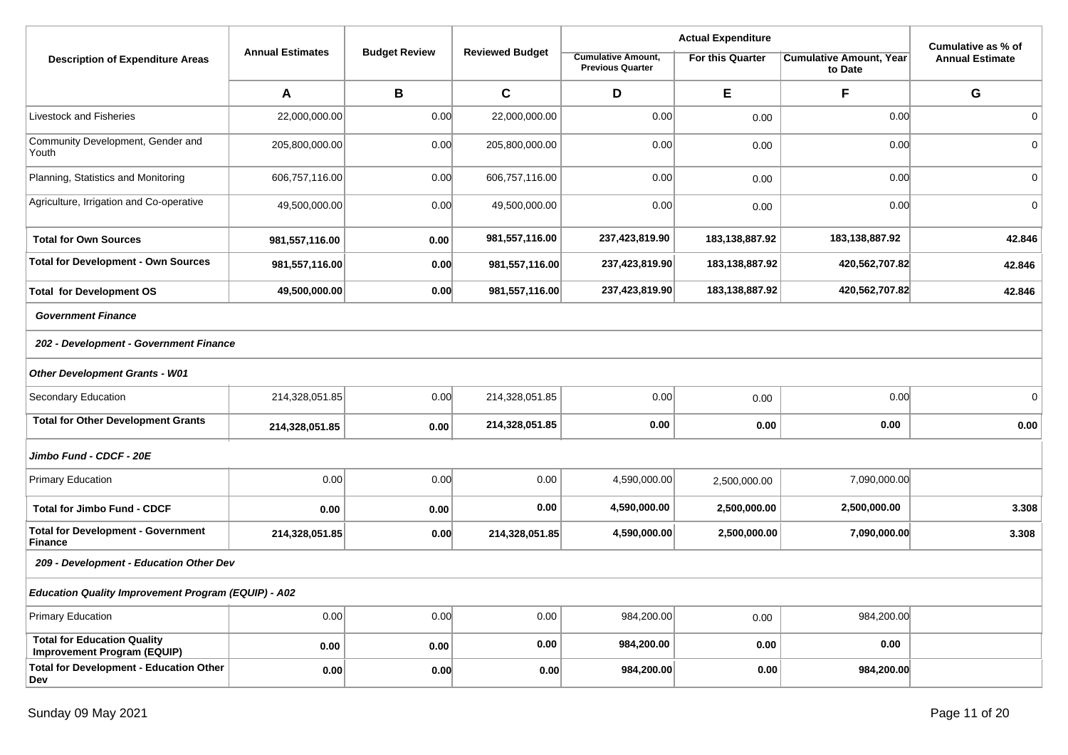|                                                                   |                         |                      |                        |                                                      |                         | Cumulative as % of                        |                        |
|-------------------------------------------------------------------|-------------------------|----------------------|------------------------|------------------------------------------------------|-------------------------|-------------------------------------------|------------------------|
| <b>Description of Expenditure Areas</b>                           | <b>Annual Estimates</b> | <b>Budget Review</b> | <b>Reviewed Budget</b> | <b>Cumulative Amount,</b><br><b>Previous Quarter</b> | <b>For this Quarter</b> | <b>Cumulative Amount, Year</b><br>to Date | <b>Annual Estimate</b> |
|                                                                   | A                       | B                    | $\mathbf c$            | D                                                    | E                       | F                                         | G                      |
| Livestock and Fisheries                                           | 22,000,000.00           | 0.00                 | 22,000,000.00          | 0.00                                                 | 0.00                    | 0.00                                      | $\mathbf 0$            |
| Community Development, Gender and<br>Youth                        | 205,800,000.00          | 0.00                 | 205,800,000.00         | 0.00                                                 | 0.00                    | 0.00                                      | $\overline{0}$         |
| Planning, Statistics and Monitoring                               | 606,757,116.00          | 0.00                 | 606,757,116.00         | 0.00                                                 | 0.00                    | 0.00                                      | $\overline{0}$         |
| Agriculture, Irrigation and Co-operative                          | 49,500,000.00           | 0.00                 | 49,500,000.00          | 0.00                                                 | 0.00                    | 0.00                                      | $\mathbf 0$            |
| <b>Total for Own Sources</b>                                      | 981,557,116.00          | 0.00                 | 981,557,116.00         | 237,423,819.90                                       | 183,138,887.92          | 183,138,887.92                            | 42.846                 |
| <b>Total for Development - Own Sources</b>                        | 981,557,116.00          | 0.00                 | 981,557,116.00         | 237,423,819.90                                       | 183,138,887.92          | 420,562,707.82                            | 42.846                 |
| <b>Total for Development OS</b>                                   | 49,500,000.00           | 0.00                 | 981,557,116.00         | 237,423,819.90                                       | 183,138,887.92          | 420,562,707.82                            | 42.846                 |
| <b>Government Finance</b>                                         |                         |                      |                        |                                                      |                         |                                           |                        |
| 202 - Development - Government Finance                            |                         |                      |                        |                                                      |                         |                                           |                        |
| <b>Other Development Grants - W01</b>                             |                         |                      |                        |                                                      |                         |                                           |                        |
| Secondary Education                                               | 214,328,051.85          | 0.00                 | 214,328,051.85         | 0.00                                                 | 0.00                    | 0.00                                      | 0                      |
| <b>Total for Other Development Grants</b>                         | 214,328,051.85          | 0.00                 | 214,328,051.85         | 0.00                                                 | 0.00                    | 0.00                                      | 0.00                   |
| Jimbo Fund - CDCF - 20E                                           |                         |                      |                        |                                                      |                         |                                           |                        |
| <b>Primary Education</b>                                          | 0.00                    | 0.00                 | 0.00                   | 4,590,000.00                                         | 2,500,000.00            | 7,090,000.00                              |                        |
| <b>Total for Jimbo Fund - CDCF</b>                                | 0.00                    | 0.00                 | 0.00                   | 4,590,000.00                                         | 2,500,000.00            | 2,500,000.00                              | 3.308                  |
| <b>Total for Development - Government</b><br><b>Finance</b>       | 214,328,051.85          | 0.00                 | 214,328,051.85         | 4,590,000.00                                         | 2,500,000.00            | 7,090,000.00                              | 3.308                  |
| 209 - Development - Education Other Dev                           |                         |                      |                        |                                                      |                         |                                           |                        |
| <b>Education Quality Improvement Program (EQUIP) - A02</b>        |                         |                      |                        |                                                      |                         |                                           |                        |
| <b>Primary Education</b>                                          | 0.00                    | 0.00                 | 0.00                   | 984,200.00                                           | 0.00                    | 984,200.00                                |                        |
| <b>Total for Education Quality</b><br>Improvement Program (EQUIP) | 0.00                    | 0.00                 | 0.00                   | 984,200.00                                           | 0.00                    | 0.00                                      |                        |
| <b>Total for Development - Education Other</b><br>Dev             | 0.00                    | 0.00                 | 0.00                   | 984,200.00                                           | 0.00                    | 984,200.00                                |                        |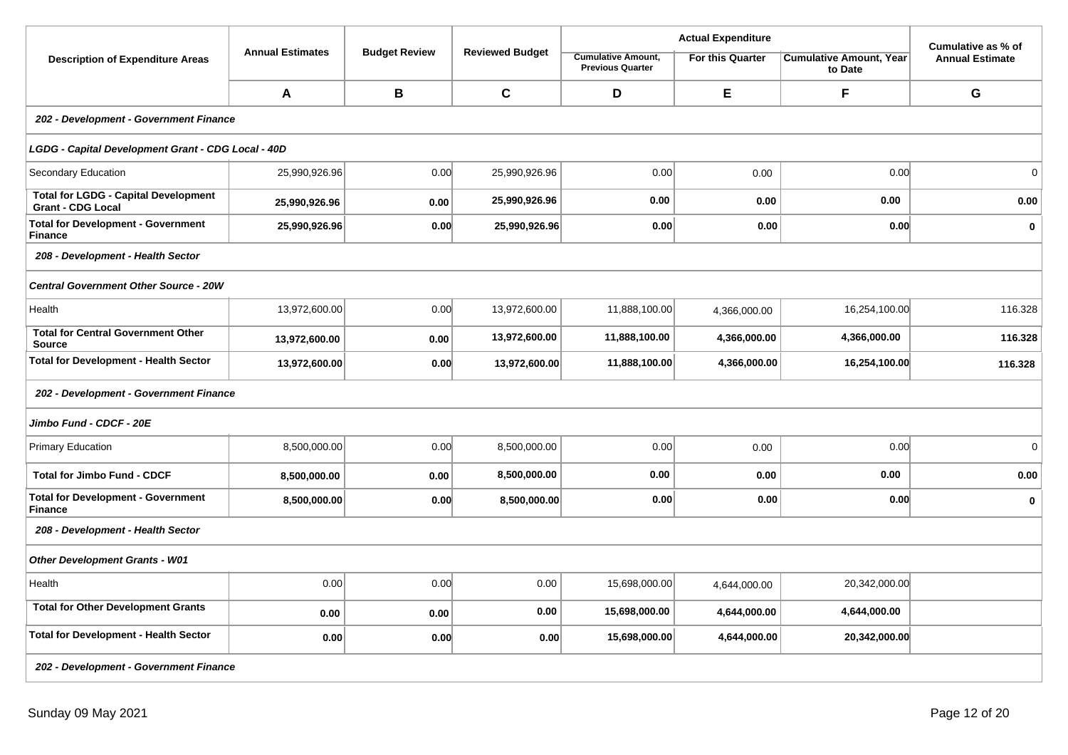|                                                                         |                         |                      |                        |                                                      | <b>Actual Expenditure</b> |                                           | Cumulative as % of     |  |  |  |  |
|-------------------------------------------------------------------------|-------------------------|----------------------|------------------------|------------------------------------------------------|---------------------------|-------------------------------------------|------------------------|--|--|--|--|
| <b>Description of Expenditure Areas</b>                                 | <b>Annual Estimates</b> | <b>Budget Review</b> | <b>Reviewed Budget</b> | <b>Cumulative Amount,</b><br><b>Previous Quarter</b> | For this Quarter          | <b>Cumulative Amount, Year</b><br>to Date | <b>Annual Estimate</b> |  |  |  |  |
|                                                                         | A                       | B                    | $\mathbf c$            | D                                                    | E                         | F                                         | G                      |  |  |  |  |
| 202 - Development - Government Finance                                  |                         |                      |                        |                                                      |                           |                                           |                        |  |  |  |  |
| LGDG - Capital Development Grant - CDG Local - 40D                      |                         |                      |                        |                                                      |                           |                                           |                        |  |  |  |  |
| Secondary Education                                                     | 25,990,926.96           | 0.00                 | 25,990,926.96          | 0.00                                                 | 0.00                      | 0.00                                      | $\Omega$               |  |  |  |  |
| <b>Total for LGDG - Capital Development</b><br><b>Grant - CDG Local</b> | 25,990,926.96           | 0.00                 | 25,990,926.96          | 0.00                                                 | 0.00                      | 0.00                                      | 0.00                   |  |  |  |  |
| <b>Total for Development - Government</b><br><b>Finance</b>             | 25,990,926.96           | 0.00                 | 25,990,926.96          | 0.00                                                 | 0.00                      | 0.00                                      | $\mathbf 0$            |  |  |  |  |
| 208 - Development - Health Sector                                       |                         |                      |                        |                                                      |                           |                                           |                        |  |  |  |  |
| <b>Central Government Other Source - 20W</b>                            |                         |                      |                        |                                                      |                           |                                           |                        |  |  |  |  |
| Health                                                                  | 13,972,600.00           | 0.00                 | 13,972,600.00          | 11,888,100.00                                        | 4,366,000.00              | 16,254,100.00                             | 116.328                |  |  |  |  |
| <b>Total for Central Government Other</b><br><b>Source</b>              | 13,972,600.00           | 0.00                 | 13,972,600.00          | 11,888,100.00                                        | 4,366,000.00              | 4,366,000.00                              | 116.328                |  |  |  |  |
| <b>Total for Development - Health Sector</b>                            | 13,972,600.00           | 0.00                 | 13,972,600.00          | 11,888,100.00                                        | 4,366,000.00              | 16,254,100.00                             | 116.328                |  |  |  |  |
| 202 - Development - Government Finance                                  |                         |                      |                        |                                                      |                           |                                           |                        |  |  |  |  |
| Jimbo Fund - CDCF - 20E                                                 |                         |                      |                        |                                                      |                           |                                           |                        |  |  |  |  |
| <b>Primary Education</b>                                                | 8,500,000.00            | 0.00                 | 8,500,000.00           | 0.00                                                 | 0.00                      | 0.00                                      | $\mathbf 0$            |  |  |  |  |
| <b>Total for Jimbo Fund - CDCF</b>                                      | 8,500,000.00            | 0.00                 | 8,500,000.00           | 0.00                                                 | 0.00                      | 0.00                                      | 0.00                   |  |  |  |  |
| <b>Total for Development - Government</b><br><b>Finance</b>             | 8,500,000.00            | 0.00                 | 8,500,000.00           | 0.00                                                 | 0.00                      | 0.00                                      | $\bf{0}$               |  |  |  |  |
| 208 - Development - Health Sector                                       |                         |                      |                        |                                                      |                           |                                           |                        |  |  |  |  |
| <b>Other Development Grants - W01</b>                                   |                         |                      |                        |                                                      |                           |                                           |                        |  |  |  |  |
| Health                                                                  | 0.00                    | 0.00                 | 0.00                   | 15,698,000.00                                        | 4,644,000.00              | 20,342,000.00                             |                        |  |  |  |  |
| <b>Total for Other Development Grants</b>                               | 0.00                    | 0.00                 | 0.00                   | 15,698,000.00                                        | 4,644,000.00              | 4,644,000.00                              |                        |  |  |  |  |
| Total for Development - Health Sector                                   | 0.00                    | 0.00                 | 0.00                   | 15,698,000.00                                        | 4,644,000.00              | 20,342,000.00                             |                        |  |  |  |  |
| 202 - Development - Government Finance                                  |                         |                      |                        |                                                      |                           |                                           |                        |  |  |  |  |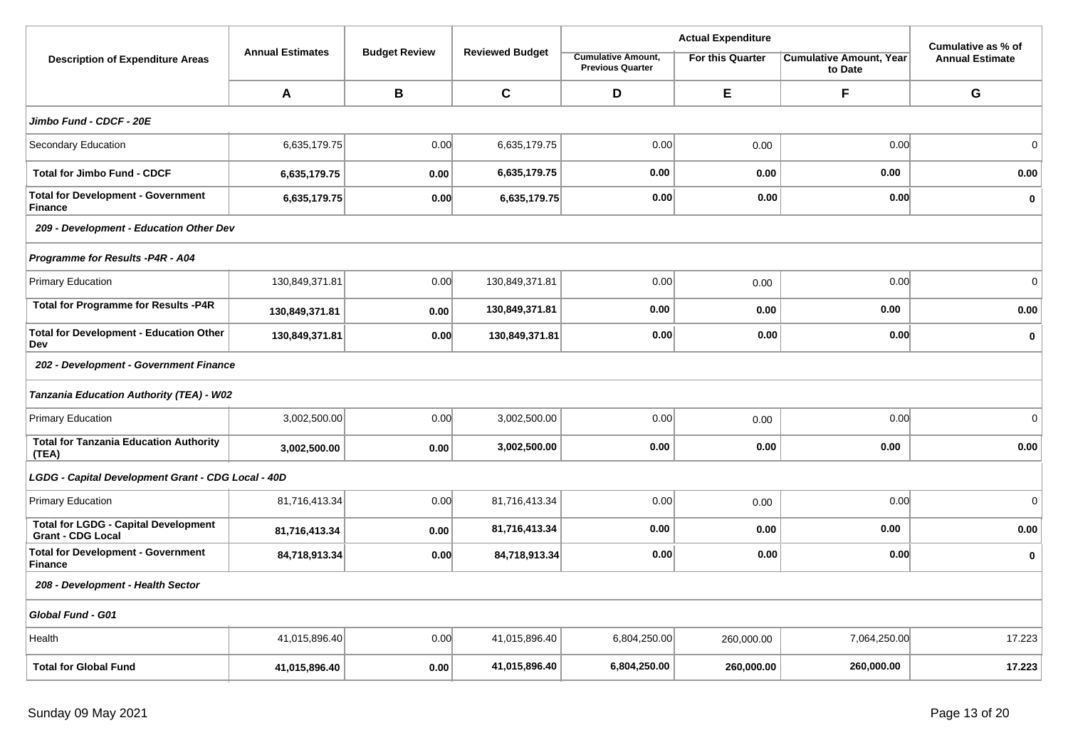|                                                                         |                         | <b>Budget Review</b> |                        | <b>Actual Expenditure</b>                            | Cumulative as % of      |                                           |                        |  |  |
|-------------------------------------------------------------------------|-------------------------|----------------------|------------------------|------------------------------------------------------|-------------------------|-------------------------------------------|------------------------|--|--|
| <b>Description of Expenditure Areas</b>                                 | <b>Annual Estimates</b> |                      | <b>Reviewed Budget</b> | <b>Cumulative Amount,</b><br><b>Previous Quarter</b> | <b>For this Quarter</b> | <b>Cumulative Amount, Year</b><br>to Date | <b>Annual Estimate</b> |  |  |
|                                                                         | A                       | $\, {\bf B}$         | $\mathbf c$            | D                                                    | E                       | F                                         | G                      |  |  |
| Jimbo Fund - CDCF - 20E                                                 |                         |                      |                        |                                                      |                         |                                           |                        |  |  |
| Secondary Education                                                     | 6,635,179.75            | 0.00                 | 6,635,179.75           | 0.00                                                 | 0.00                    | 0.00                                      | $\mathbf 0$            |  |  |
| <b>Total for Jimbo Fund - CDCF</b>                                      | 6,635,179.75            | 0.00                 | 6,635,179.75           | 0.00                                                 | 0.00                    | 0.00                                      | 0.00                   |  |  |
| <b>Total for Development - Government</b><br><b>Finance</b>             | 6,635,179.75            | 0.00                 | 6,635,179.75           | 0.00                                                 | 0.00                    | 0.00                                      | $\mathbf 0$            |  |  |
| 209 - Development - Education Other Dev                                 |                         |                      |                        |                                                      |                         |                                           |                        |  |  |
| Programme for Results -P4R - A04                                        |                         |                      |                        |                                                      |                         |                                           |                        |  |  |
| Primary Education                                                       | 130,849,371.81          | 0.00                 | 130,849,371.81         | 0.00                                                 | 0.00                    | 0.00                                      | $\mathbf 0$            |  |  |
| <b>Total for Programme for Results -P4R</b>                             | 130,849,371.81          | 0.00                 | 130,849,371.81         | 0.00                                                 | 0.00                    | 0.00                                      | 0.00                   |  |  |
| <b>Total for Development - Education Other</b><br>Dev                   | 130,849,371.81          | 0.00                 | 130,849,371.81         | 0.00                                                 | 0.00                    | 0.00                                      | $\mathbf 0$            |  |  |
| 202 - Development - Government Finance                                  |                         |                      |                        |                                                      |                         |                                           |                        |  |  |
| Tanzania Education Authority (TEA) - W02                                |                         |                      |                        |                                                      |                         |                                           |                        |  |  |
| <b>Primary Education</b>                                                | 3,002,500.00            | 0.00                 | 3,002,500.00           | 0.00                                                 | 0.00                    | 0.00                                      | $\mathbf 0$            |  |  |
| <b>Total for Tanzania Education Authority</b><br>(TEA)                  | 3,002,500.00            | 0.00                 | 3,002,500.00           | 0.00                                                 | 0.00                    | 0.00                                      | 0.00                   |  |  |
| LGDG - Capital Development Grant - CDG Local - 40D                      |                         |                      |                        |                                                      |                         |                                           |                        |  |  |
| Primary Education                                                       | 81,716,413.34           | 0.00                 | 81,716,413.34          | 0.00                                                 | 0.00                    | 0.00                                      | $\mathbf 0$            |  |  |
| <b>Total for LGDG - Capital Development</b><br><b>Grant - CDG Local</b> | 81,716,413.34           | 0.00                 | 81,716,413.34          | 0.00                                                 | 0.00                    | 0.00                                      | 0.00                   |  |  |
| <b>Total for Development - Government</b><br>Finance                    | 84,718,913.34           | 0.00                 | 84,718,913.34          | 0.00                                                 | 0.00                    | 0.00                                      | $\mathbf 0$            |  |  |
| 208 - Development - Health Sector                                       |                         |                      |                        |                                                      |                         |                                           |                        |  |  |
| Global Fund - G01                                                       |                         |                      |                        |                                                      |                         |                                           |                        |  |  |
| Health                                                                  | 41,015,896.40           | 0.00                 | 41,015,896.40          | 6,804,250.00                                         | 260,000.00              | 7,064,250.00                              | 17.223                 |  |  |
| <b>Total for Global Fund</b>                                            | 41,015,896.40           | 0.00                 | 41,015,896.40          | 6,804,250.00                                         | 260,000.00              | 260,000.00                                | 17.223                 |  |  |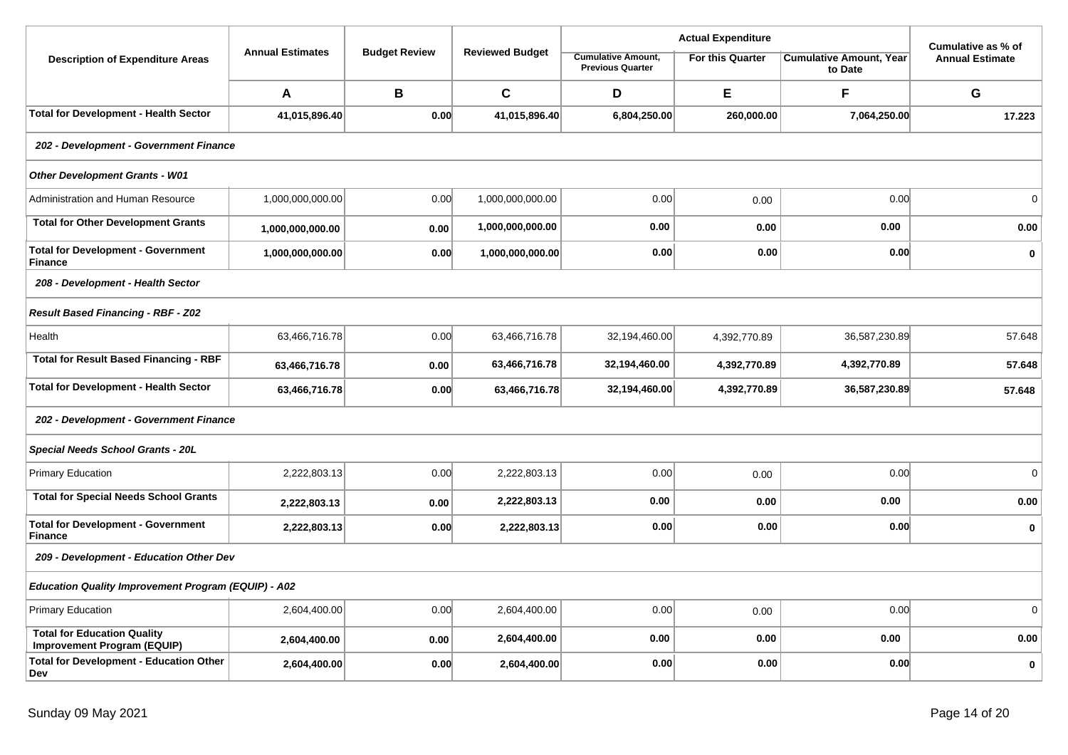|                                                                   |                         |                      |                        |                                                      | <b>Actual Expenditure</b> | Cumulative as % of                        |                        |  |  |  |
|-------------------------------------------------------------------|-------------------------|----------------------|------------------------|------------------------------------------------------|---------------------------|-------------------------------------------|------------------------|--|--|--|
| <b>Description of Expenditure Areas</b>                           | <b>Annual Estimates</b> | <b>Budget Review</b> | <b>Reviewed Budget</b> | <b>Cumulative Amount,</b><br><b>Previous Quarter</b> | <b>For this Quarter</b>   | <b>Cumulative Amount, Year</b><br>to Date | <b>Annual Estimate</b> |  |  |  |
|                                                                   | A                       | B                    | $\mathbf{C}$           | D                                                    | E                         | F                                         | G                      |  |  |  |
| <b>Total for Development - Health Sector</b>                      | 41,015,896.40           | 0.00                 | 41,015,896.40          | 6,804,250.00                                         | 260,000.00                | 7,064,250.00                              | 17.223                 |  |  |  |
| 202 - Development - Government Finance                            |                         |                      |                        |                                                      |                           |                                           |                        |  |  |  |
| <b>Other Development Grants - W01</b>                             |                         |                      |                        |                                                      |                           |                                           |                        |  |  |  |
| Administration and Human Resource                                 | 1,000,000,000.00        | 0.00                 | 1,000,000,000.00       | 0.00                                                 | 0.00                      | 0.00                                      | $\mathbf 0$            |  |  |  |
| <b>Total for Other Development Grants</b>                         | 1,000,000,000.00        | 0.00                 | 1,000,000,000.00       | 0.00                                                 | 0.00                      | 0.00                                      | 0.00                   |  |  |  |
| <b>Total for Development - Government</b><br><b>Finance</b>       | 1,000,000,000.00        | 0.00                 | 1,000,000,000.00       | 0.00                                                 | 0.00                      | 0.00                                      | $\mathbf 0$            |  |  |  |
| 208 - Development - Health Sector                                 |                         |                      |                        |                                                      |                           |                                           |                        |  |  |  |
| <b>Result Based Financing - RBF - Z02</b>                         |                         |                      |                        |                                                      |                           |                                           |                        |  |  |  |
| Health                                                            | 63,466,716.78           | 0.00                 | 63,466,716.78          | 32,194,460.00                                        | 4,392,770.89              | 36,587,230.89                             | 57.648                 |  |  |  |
| <b>Total for Result Based Financing - RBF</b>                     | 63,466,716.78           | 0.00                 | 63,466,716.78          | 32,194,460.00                                        | 4,392,770.89              | 4,392,770.89                              | 57.648                 |  |  |  |
| <b>Total for Development - Health Sector</b>                      | 63,466,716.78           | 0.00                 | 63,466,716.78          | 32,194,460.00                                        | 4,392,770.89              | 36,587,230.89                             | 57.648                 |  |  |  |
| 202 - Development - Government Finance                            |                         |                      |                        |                                                      |                           |                                           |                        |  |  |  |
| Special Needs School Grants - 20L                                 |                         |                      |                        |                                                      |                           |                                           |                        |  |  |  |
| <b>Primary Education</b>                                          | 2,222,803.13            | 0.00                 | 2,222,803.13           | 0.00                                                 | 0.00                      | 0.00                                      | 0                      |  |  |  |
| <b>Total for Special Needs School Grants</b>                      | 2,222,803.13            | 0.00                 | 2,222,803.13           | 0.00                                                 | 0.00                      | 0.00                                      | 0.00                   |  |  |  |
| <b>Total for Development - Government</b><br><b>Finance</b>       | 2,222,803.13            | 0.00                 | 2,222,803.13           | 0.00                                                 | 0.00                      | 0.00                                      | $\mathbf 0$            |  |  |  |
| 209 - Development - Education Other Dev                           |                         |                      |                        |                                                      |                           |                                           |                        |  |  |  |
| <b>Education Quality Improvement Program (EQUIP) - A02</b>        |                         |                      |                        |                                                      |                           |                                           |                        |  |  |  |
| <b>Primary Education</b>                                          | 2,604,400.00            | 0.00                 | 2,604,400.00           | 0.00                                                 | 0.00                      | 0.00                                      | $\Omega$               |  |  |  |
| <b>Total for Education Quality</b><br>Improvement Program (EQUIP) | 2,604,400.00            | 0.00                 | 2,604,400.00           | 0.00                                                 | 0.00                      | 0.00                                      | 0.00                   |  |  |  |
| <b>Total for Development - Education Other</b><br>Dev             | 2,604,400.00            | 0.00                 | 2,604,400.00           | 0.00                                                 | 0.00                      | 0.00                                      | $\bf{0}$               |  |  |  |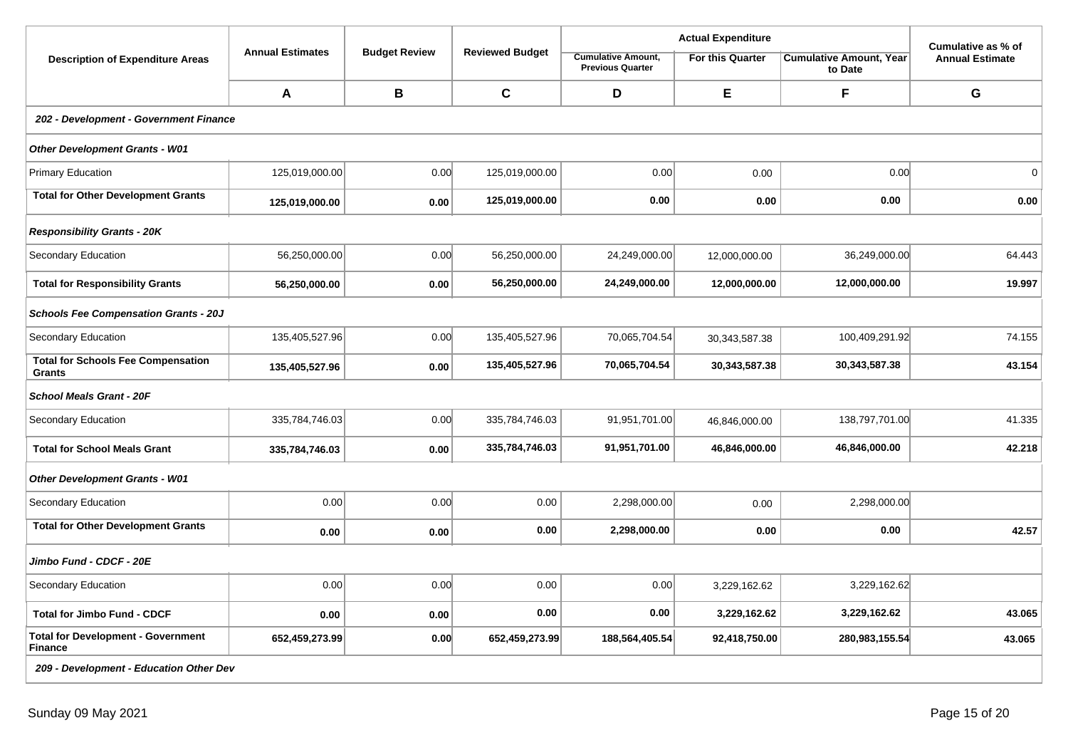|                                                             |                         |                      |                        |                                                      | Cumulative as % of      |                                           |                        |  |  |  |
|-------------------------------------------------------------|-------------------------|----------------------|------------------------|------------------------------------------------------|-------------------------|-------------------------------------------|------------------------|--|--|--|
| <b>Description of Expenditure Areas</b>                     | <b>Annual Estimates</b> | <b>Budget Review</b> | <b>Reviewed Budget</b> | <b>Cumulative Amount,</b><br><b>Previous Quarter</b> | <b>For this Quarter</b> | <b>Cumulative Amount, Year</b><br>to Date | <b>Annual Estimate</b> |  |  |  |
|                                                             | A                       | B                    | $\mathbf c$            | D                                                    | Е                       | F                                         | G                      |  |  |  |
| 202 - Development - Government Finance                      |                         |                      |                        |                                                      |                         |                                           |                        |  |  |  |
| <b>Other Development Grants - W01</b>                       |                         |                      |                        |                                                      |                         |                                           |                        |  |  |  |
| <b>Primary Education</b>                                    | 125,019,000.00          | 0.00                 | 125,019,000.00         | 0.00                                                 | 0.00                    | 0.00                                      | $\mathbf{0}$           |  |  |  |
| <b>Total for Other Development Grants</b>                   | 125,019,000.00          | 0.00                 | 125,019,000.00         | 0.00                                                 | 0.00                    | 0.00                                      | 0.00                   |  |  |  |
| <b>Responsibility Grants - 20K</b>                          |                         |                      |                        |                                                      |                         |                                           |                        |  |  |  |
| Secondary Education                                         | 56,250,000.00           | 0.00                 | 56,250,000.00          | 24,249,000.00                                        | 12,000,000.00           | 36,249,000.00                             | 64.443                 |  |  |  |
| <b>Total for Responsibility Grants</b>                      | 56,250,000.00           | 0.00                 | 56,250,000.00          | 24,249,000.00                                        | 12,000,000.00           | 12,000,000.00                             | 19.997                 |  |  |  |
| <b>Schools Fee Compensation Grants - 20J</b>                |                         |                      |                        |                                                      |                         |                                           |                        |  |  |  |
| Secondary Education                                         | 135,405,527.96          | 0.00                 | 135,405,527.96         | 70,065,704.54                                        | 30,343,587.38           | 100,409,291.92                            | 74.155                 |  |  |  |
| <b>Total for Schools Fee Compensation</b><br>Grants         | 135,405,527.96          | 0.00                 | 135,405,527.96         | 70,065,704.54                                        | 30,343,587.38           | 30,343,587.38                             | 43.154                 |  |  |  |
| <b>School Meals Grant - 20F</b>                             |                         |                      |                        |                                                      |                         |                                           |                        |  |  |  |
| Secondary Education                                         | 335,784,746.03          | 0.00                 | 335,784,746.03         | 91,951,701.00                                        | 46,846,000.00           | 138,797,701.00                            | 41.335                 |  |  |  |
| <b>Total for School Meals Grant</b>                         | 335,784,746.03          | 0.00                 | 335,784,746.03         | 91,951,701.00                                        | 46,846,000.00           | 46,846,000.00                             | 42.218                 |  |  |  |
| <b>Other Development Grants - W01</b>                       |                         |                      |                        |                                                      |                         |                                           |                        |  |  |  |
| Secondary Education                                         | 0.00                    | 0.00                 | 0.00                   | 2,298,000.00                                         | 0.00                    | 2,298,000.00                              |                        |  |  |  |
| <b>Total for Other Development Grants</b>                   | 0.00                    | 0.00                 | 0.00                   | 2,298,000.00                                         | 0.00                    | 0.00                                      | 42.57                  |  |  |  |
| Jimbo Fund - CDCF - 20E                                     |                         |                      |                        |                                                      |                         |                                           |                        |  |  |  |
| <b>Secondary Education</b>                                  | 0.00                    | 0.00                 | 0.00                   | 0.00                                                 | 3,229,162.62            | 3,229,162.62                              |                        |  |  |  |
| <b>Total for Jimbo Fund - CDCF</b>                          | 0.00                    | 0.00                 | 0.00                   | 0.00                                                 | 3,229,162.62            | 3,229,162.62                              | 43.065                 |  |  |  |
| <b>Total for Development - Government</b><br><b>Finance</b> | 652,459,273.99          | 0.00                 | 652,459,273.99         | 188,564,405.54                                       | 92,418,750.00           | 280,983,155.54                            | 43.065                 |  |  |  |
| 209 - Development - Education Other Dev                     |                         |                      |                        |                                                      |                         |                                           |                        |  |  |  |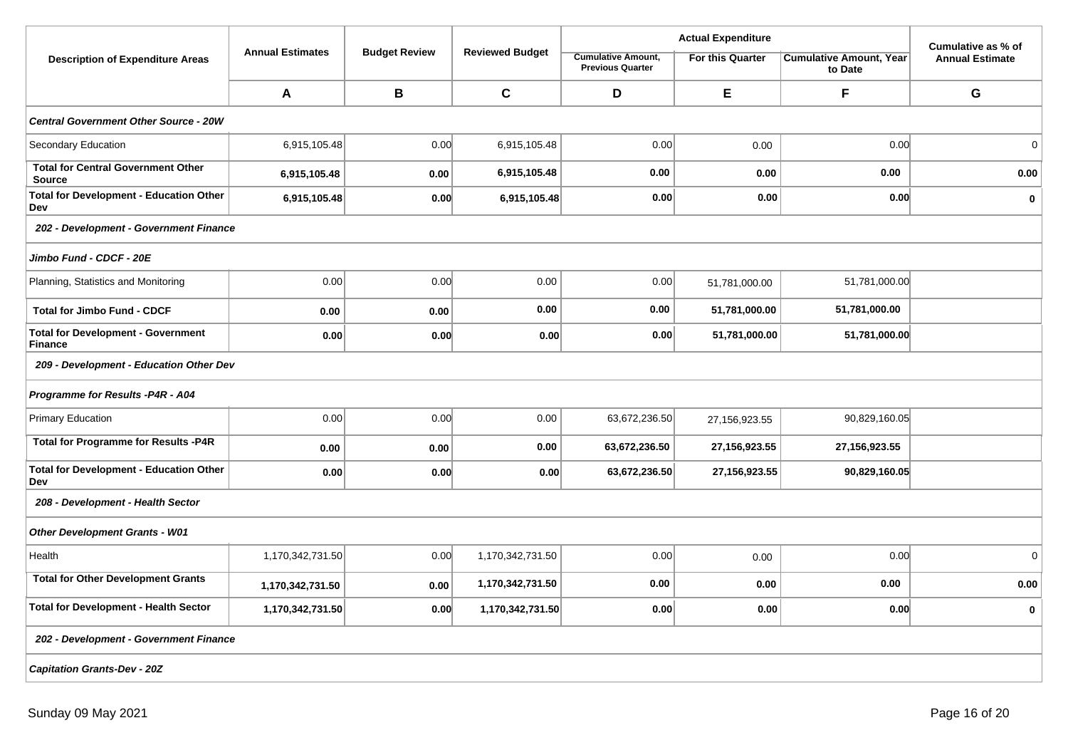|                                                             |                         |                      |                        |                                                      | Cumulative as % of      |                                           |                        |
|-------------------------------------------------------------|-------------------------|----------------------|------------------------|------------------------------------------------------|-------------------------|-------------------------------------------|------------------------|
| <b>Description of Expenditure Areas</b>                     | <b>Annual Estimates</b> | <b>Budget Review</b> | <b>Reviewed Budget</b> | <b>Cumulative Amount,</b><br><b>Previous Quarter</b> | <b>For this Quarter</b> | <b>Cumulative Amount, Year</b><br>to Date | <b>Annual Estimate</b> |
|                                                             | A                       | B                    | $\mathbf{C}$           | D                                                    | E                       | F                                         | G                      |
| <b>Central Government Other Source - 20W</b>                |                         |                      |                        |                                                      |                         |                                           |                        |
| Secondary Education                                         | 6,915,105.48            | 0.00                 | 6,915,105.48           | 0.00                                                 | 0.00                    | 0.00                                      | $\mathbf 0$            |
| <b>Total for Central Government Other</b><br><b>Source</b>  | 6,915,105.48            | 0.00                 | 6,915,105.48           | 0.00                                                 | 0.00                    | 0.00                                      | 0.00                   |
| <b>Total for Development - Education Other</b><br>Dev       | 6,915,105.48            | 0.00                 | 6,915,105.48           | 0.00                                                 | 0.00                    | 0.00                                      | $\mathbf 0$            |
| 202 - Development - Government Finance                      |                         |                      |                        |                                                      |                         |                                           |                        |
| Jimbo Fund - CDCF - 20E                                     |                         |                      |                        |                                                      |                         |                                           |                        |
| Planning, Statistics and Monitoring                         | 0.00                    | 0.00                 | 0.00                   | 0.00                                                 | 51,781,000.00           | 51,781,000.00                             |                        |
| <b>Total for Jimbo Fund - CDCF</b>                          | 0.00                    | 0.00                 | 0.00                   | 0.00                                                 | 51,781,000.00           | 51,781,000.00                             |                        |
| <b>Total for Development - Government</b><br><b>Finance</b> | 0.00                    | 0.00                 | 0.00                   | 0.00                                                 | 51,781,000.00           | 51,781,000.00                             |                        |
| 209 - Development - Education Other Dev                     |                         |                      |                        |                                                      |                         |                                           |                        |
| Programme for Results -P4R - A04                            |                         |                      |                        |                                                      |                         |                                           |                        |
| Primary Education                                           | 0.00                    | 0.00                 | 0.00                   | 63,672,236.50                                        | 27,156,923.55           | 90,829,160.05                             |                        |
| <b>Total for Programme for Results -P4R</b>                 | 0.00                    | 0.00                 | 0.00                   | 63,672,236.50                                        | 27, 156, 923. 55        | 27,156,923.55                             |                        |
| <b>Total for Development - Education Other</b><br>Dev       | 0.00                    | 0.00                 | 0.00                   | 63,672,236.50                                        | 27, 156, 923. 55        | 90,829,160.05                             |                        |
| 208 - Development - Health Sector                           |                         |                      |                        |                                                      |                         |                                           |                        |
| <b>Other Development Grants - W01</b>                       |                         |                      |                        |                                                      |                         |                                           |                        |
| Health                                                      | 1,170,342,731.50        | 0.00                 | 1,170,342,731.50       | 0.00                                                 | 0.00                    | 0.00                                      | $\mathsf 0$            |
| <b>Total for Other Development Grants</b>                   | 1,170,342,731.50        | 0.00                 | 1,170,342,731.50       | 0.00                                                 | 0.00                    | 0.00                                      | 0.00                   |
| <b>Total for Development - Health Sector</b>                | 1,170,342,731.50        | 0.00                 | 1,170,342,731.50       | 0.00                                                 | 0.00                    | 0.00                                      | $\mathbf 0$            |
| 202 - Development - Government Finance                      |                         |                      |                        |                                                      |                         |                                           |                        |
| <b>Capitation Grants-Dev - 20Z</b>                          |                         |                      |                        |                                                      |                         |                                           |                        |
|                                                             |                         |                      |                        |                                                      |                         |                                           |                        |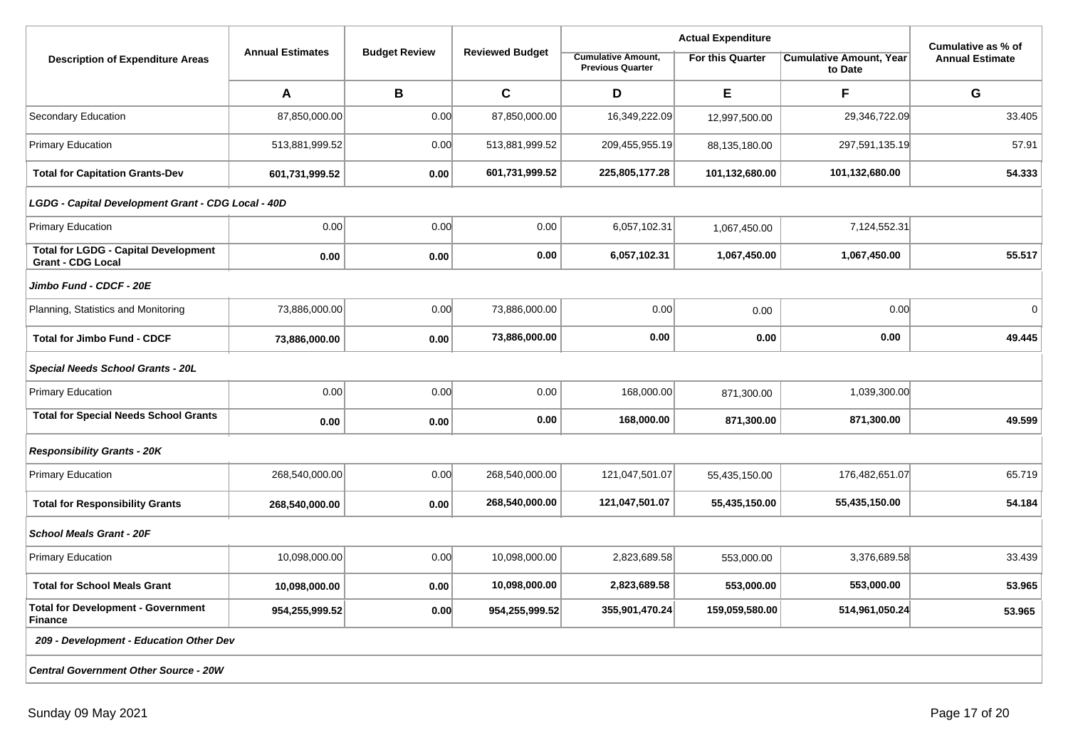|                                                                         |                         |                      | <b>Reviewed Budget</b> |                                                      | Cumulative as % of |                                           |                        |  |  |  |
|-------------------------------------------------------------------------|-------------------------|----------------------|------------------------|------------------------------------------------------|--------------------|-------------------------------------------|------------------------|--|--|--|
| <b>Description of Expenditure Areas</b>                                 | <b>Annual Estimates</b> | <b>Budget Review</b> |                        | <b>Cumulative Amount,</b><br><b>Previous Quarter</b> | For this Quarter   | <b>Cumulative Amount, Year</b><br>to Date | <b>Annual Estimate</b> |  |  |  |
|                                                                         | A                       | В                    | $\mathbf c$            | D                                                    | E                  | F                                         | G                      |  |  |  |
| Secondary Education                                                     | 87,850,000.00           | 0.00                 | 87,850,000.00          | 16,349,222.09                                        | 12,997,500.00      | 29,346,722.09                             | 33.405                 |  |  |  |
| <b>Primary Education</b>                                                | 513,881,999.52          | 0.00                 | 513,881,999.52         | 209,455,955.19                                       | 88,135,180.00      | 297,591,135.19                            | 57.91                  |  |  |  |
| <b>Total for Capitation Grants-Dev</b>                                  | 601,731,999.52          | 0.00                 | 601,731,999.52         | 225,805,177.28                                       | 101,132,680.00     | 101,132,680.00                            | 54.333                 |  |  |  |
| LGDG - Capital Development Grant - CDG Local - 40D                      |                         |                      |                        |                                                      |                    |                                           |                        |  |  |  |
| <b>Primary Education</b>                                                | 0.00                    | 0.00                 | 0.00                   | 6,057,102.31                                         | 1,067,450.00       | 7,124,552.31                              |                        |  |  |  |
| <b>Total for LGDG - Capital Development</b><br><b>Grant - CDG Local</b> | 0.00                    | 0.00                 | 0.00                   | 6,057,102.31                                         | 1,067,450.00       | 1,067,450.00                              | 55.517                 |  |  |  |
| Jimbo Fund - CDCF - 20E                                                 |                         |                      |                        |                                                      |                    |                                           |                        |  |  |  |
| Planning, Statistics and Monitoring                                     | 73,886,000.00           | 0.00                 | 73,886,000.00          | 0.00                                                 | 0.00               | 0.00                                      | $\mathbf 0$            |  |  |  |
| <b>Total for Jimbo Fund - CDCF</b>                                      | 73,886,000.00           | 0.00                 | 73,886,000.00          | 0.00                                                 | 0.00               | 0.00                                      | 49.445                 |  |  |  |
| Special Needs School Grants - 20L                                       |                         |                      |                        |                                                      |                    |                                           |                        |  |  |  |
| <b>Primary Education</b>                                                | 0.00                    | 0.00                 | 0.00                   | 168,000.00                                           | 871,300.00         | 1,039,300.00                              |                        |  |  |  |
| <b>Total for Special Needs School Grants</b>                            | 0.00                    | 0.00                 | 0.00                   | 168,000.00                                           | 871,300.00         | 871,300.00                                | 49.599                 |  |  |  |
| <b>Responsibility Grants - 20K</b>                                      |                         |                      |                        |                                                      |                    |                                           |                        |  |  |  |
| <b>Primary Education</b>                                                | 268,540,000.00          | 0.00                 | 268,540,000.00         | 121,047,501.07                                       | 55,435,150.00      | 176,482,651.07                            | 65.719                 |  |  |  |
| <b>Total for Responsibility Grants</b>                                  | 268,540,000.00          | 0.00                 | 268,540,000.00         | 121,047,501.07                                       | 55,435,150.00      | 55,435,150.00                             | 54.184                 |  |  |  |
| <b>School Meals Grant - 20F</b>                                         |                         |                      |                        |                                                      |                    |                                           |                        |  |  |  |
| <b>Primary Education</b>                                                | 10,098,000.00           | 0.00                 | 10,098,000.00          | 2,823,689.58                                         | 553,000.00         | 3,376,689.58                              | 33.439                 |  |  |  |
| <b>Total for School Meals Grant</b>                                     | 10,098,000.00           | 0.00                 | 10,098,000.00          | 2,823,689.58                                         | 553,000.00         | 553,000.00                                | 53.965                 |  |  |  |
| <b>Total for Development - Government</b><br><b>Finance</b>             | 954,255,999.52          | 0.00                 | 954,255,999.52         | 355,901,470.24                                       | 159,059,580.00     | 514,961,050.24                            | 53.965                 |  |  |  |
| 209 - Development - Education Other Dev                                 |                         |                      |                        |                                                      |                    |                                           |                        |  |  |  |
| <b>Central Government Other Source - 20W</b>                            |                         |                      |                        |                                                      |                    |                                           |                        |  |  |  |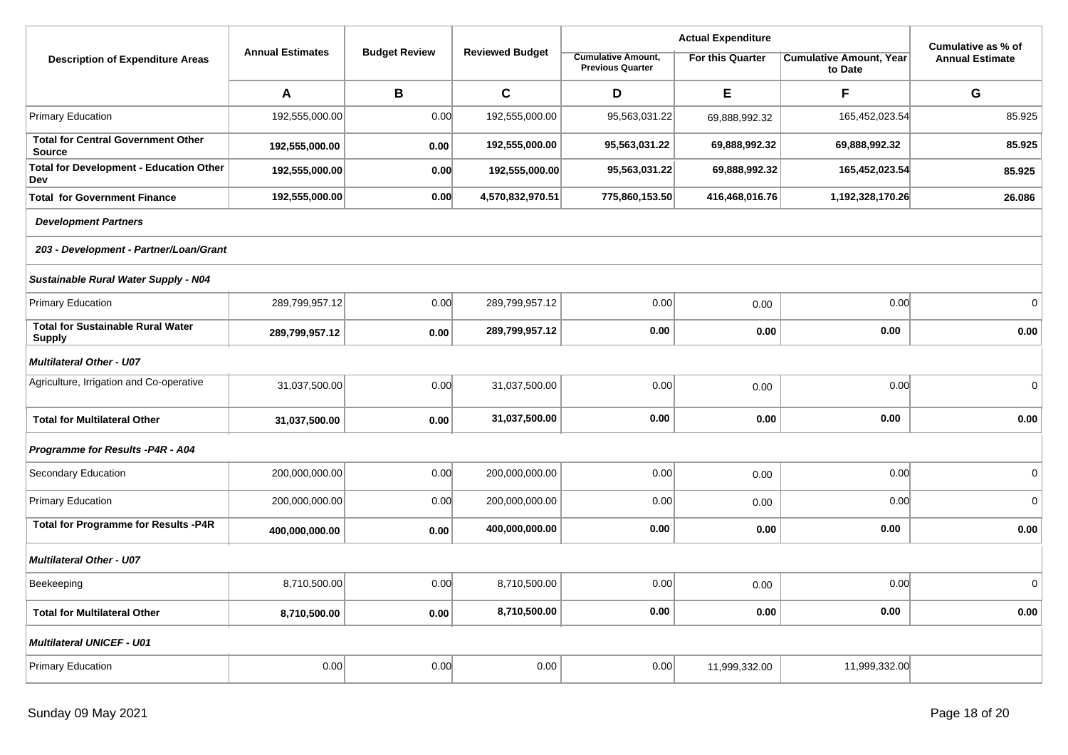|                                                            |                         |                      |                        |                                                      | Cumulative as % of      |                                           |                        |
|------------------------------------------------------------|-------------------------|----------------------|------------------------|------------------------------------------------------|-------------------------|-------------------------------------------|------------------------|
| <b>Description of Expenditure Areas</b>                    | <b>Annual Estimates</b> | <b>Budget Review</b> | <b>Reviewed Budget</b> | <b>Cumulative Amount,</b><br><b>Previous Quarter</b> | <b>For this Quarter</b> | <b>Cumulative Amount, Year</b><br>to Date | <b>Annual Estimate</b> |
|                                                            | A                       | B                    | $\mathbf c$            | D                                                    | E                       | F                                         | G                      |
| <b>Primary Education</b>                                   | 192,555,000.00          | 0.00                 | 192,555,000.00         | 95,563,031.22                                        | 69,888,992.32           | 165,452,023.54                            | 85.925                 |
| <b>Total for Central Government Other</b><br><b>Source</b> | 192,555,000.00          | 0.00                 | 192,555,000.00         | 95,563,031.22                                        | 69,888,992.32           | 69,888,992.32                             | 85.925                 |
| <b>Total for Development - Education Other</b><br>Dev      | 192,555,000.00          | 0.00                 | 192,555,000.00         | 95,563,031.22                                        | 69,888,992.32           | 165,452,023.54                            | 85.925                 |
| <b>Total for Government Finance</b>                        | 192,555,000.00          | 0.00                 | 4,570,832,970.51       | 775,860,153.50                                       | 416,468,016.76          | 1,192,328,170.26                          | 26.086                 |
| <b>Development Partners</b>                                |                         |                      |                        |                                                      |                         |                                           |                        |
| 203 - Development - Partner/Loan/Grant                     |                         |                      |                        |                                                      |                         |                                           |                        |
| Sustainable Rural Water Supply - N04                       |                         |                      |                        |                                                      |                         |                                           |                        |
| <b>Primary Education</b>                                   | 289,799,957.12          | 0.00                 | 289,799,957.12         | 0.00                                                 | 0.00                    | 0.00                                      | $\mathbf 0$            |
| <b>Total for Sustainable Rural Water</b><br><b>Supply</b>  | 289,799,957.12          | 0.00                 | 289,799,957.12         | 0.00                                                 | 0.00                    | 0.00                                      | 0.00                   |
| <b>Multilateral Other - U07</b>                            |                         |                      |                        |                                                      |                         |                                           |                        |
| Agriculture, Irrigation and Co-operative                   | 31,037,500.00           | 0.00                 | 31,037,500.00          | 0.00                                                 | 0.00                    | 0.00                                      | $\mathbf 0$            |
| <b>Total for Multilateral Other</b>                        | 31,037,500.00           | 0.00                 | 31,037,500.00          | 0.00                                                 | 0.00                    | 0.00                                      | 0.00                   |
| Programme for Results -P4R - A04                           |                         |                      |                        |                                                      |                         |                                           |                        |
| Secondary Education                                        | 200,000,000.00          | 0.00                 | 200,000,000.00         | 0.00                                                 | 0.00                    | 0.00                                      | $\mathbf{0}$           |
| <b>Primary Education</b>                                   | 200,000,000.00          | 0.00                 | 200,000,000.00         | 0.00                                                 | 0.00                    | 0.00                                      | $\pmb{0}$              |
| <b>Total for Programme for Results -P4R</b>                | 400,000,000.00          | 0.00                 | 400,000,000.00         | 0.00                                                 | 0.00                    | 0.00                                      | 0.00                   |
| <b>Multilateral Other - U07</b>                            |                         |                      |                        |                                                      |                         |                                           |                        |
| Beekeeping                                                 | 8,710,500.00            | 0.00                 | 8,710,500.00           | 0.00                                                 | 0.00                    | 0.00                                      | $\Omega$               |
| <b>Total for Multilateral Other</b>                        | 8,710,500.00            | 0.00                 | 8,710,500.00           | 0.00                                                 | 0.00                    | 0.00                                      | 0.00                   |
| <b>Multilateral UNICEF - U01</b>                           |                         |                      |                        |                                                      |                         |                                           |                        |
| <b>Primary Education</b>                                   | 0.00                    | 0.00                 | 0.00                   | 0.00                                                 | 11,999,332.00           | 11,999,332.00                             |                        |
|                                                            |                         |                      |                        |                                                      |                         |                                           |                        |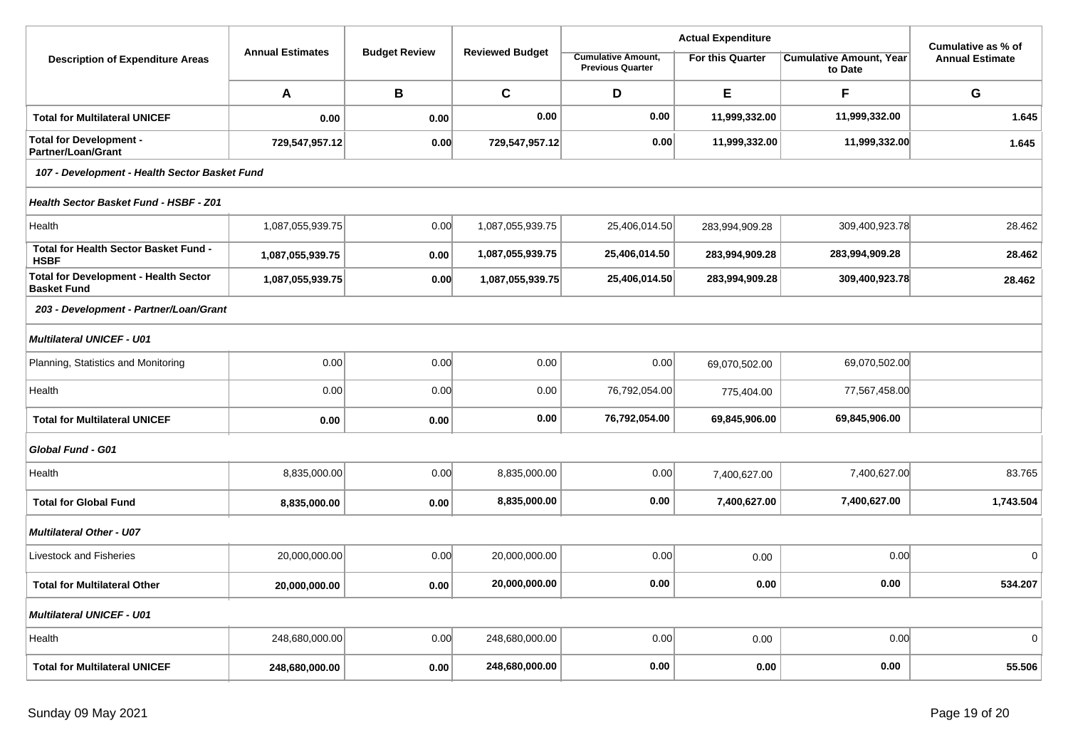|                                                                    |                         |                      |                        |                                                      | Cumulative as % of |                                           |                        |  |  |  |
|--------------------------------------------------------------------|-------------------------|----------------------|------------------------|------------------------------------------------------|--------------------|-------------------------------------------|------------------------|--|--|--|
| <b>Description of Expenditure Areas</b>                            | <b>Annual Estimates</b> | <b>Budget Review</b> | <b>Reviewed Budget</b> | <b>Cumulative Amount,</b><br><b>Previous Quarter</b> | For this Quarter   | <b>Cumulative Amount, Year</b><br>to Date | <b>Annual Estimate</b> |  |  |  |
|                                                                    | A                       | B                    | $\mathbf c$            | D                                                    | E                  | F                                         | G                      |  |  |  |
| <b>Total for Multilateral UNICEF</b>                               | 0.00                    | 0.00                 | 0.00                   | 0.00                                                 | 11,999,332.00      | 11,999,332.00                             | 1.645                  |  |  |  |
| <b>Total for Development -</b><br><b>Partner/Loan/Grant</b>        | 729,547,957.12          | 0.00                 | 729,547,957.12         | 0.00                                                 | 11,999,332.00      | 11,999,332.00                             | 1.645                  |  |  |  |
| 107 - Development - Health Sector Basket Fund                      |                         |                      |                        |                                                      |                    |                                           |                        |  |  |  |
| Health Sector Basket Fund - HSBF - Z01                             |                         |                      |                        |                                                      |                    |                                           |                        |  |  |  |
| Health                                                             | 1,087,055,939.75        | 0.00                 | 1,087,055,939.75       | 25,406,014.50                                        | 283,994,909.28     | 309,400,923.78                            | 28.462                 |  |  |  |
| <b>Total for Health Sector Basket Fund -</b><br><b>HSBF</b>        | 1,087,055,939.75        | 0.00                 | 1,087,055,939.75       | 25,406,014.50                                        | 283,994,909.28     | 283,994,909.28                            | 28.462                 |  |  |  |
| <b>Total for Development - Health Sector</b><br><b>Basket Fund</b> | 1,087,055,939.75        | 0.00                 | 1,087,055,939.75       | 25,406,014.50                                        | 283,994,909.28     | 309,400,923.78                            | 28.462                 |  |  |  |
| 203 - Development - Partner/Loan/Grant                             |                         |                      |                        |                                                      |                    |                                           |                        |  |  |  |
| <b>Multilateral UNICEF - U01</b>                                   |                         |                      |                        |                                                      |                    |                                           |                        |  |  |  |
| Planning, Statistics and Monitoring                                | 0.00                    | 0.00                 | 0.00                   | 0.00                                                 | 69,070,502.00      | 69,070,502.00                             |                        |  |  |  |
| Health                                                             | 0.00                    | 0.00                 | 0.00                   | 76,792,054.00                                        | 775,404.00         | 77,567,458.00                             |                        |  |  |  |
| <b>Total for Multilateral UNICEF</b>                               | 0.00                    | 0.00                 | 0.00                   | 76,792,054.00                                        | 69,845,906.00      | 69,845,906.00                             |                        |  |  |  |
| Global Fund - G01                                                  |                         |                      |                        |                                                      |                    |                                           |                        |  |  |  |
| Health                                                             | 8,835,000.00            | 0.00                 | 8,835,000.00           | 0.00                                                 | 7,400,627.00       | 7,400,627.00                              | 83.765                 |  |  |  |
| <b>Total for Global Fund</b>                                       | 8,835,000.00            | 0.00                 | 8,835,000.00           | 0.00                                                 | 7,400,627.00       | 7,400,627.00                              | 1,743.504              |  |  |  |
| <b>Multilateral Other - U07</b>                                    |                         |                      |                        |                                                      |                    |                                           |                        |  |  |  |
| Livestock and Fisheries                                            | 20,000,000.00           | 0.00                 | 20,000,000.00          | 0.00                                                 | 0.00               | 0.00                                      | $\Omega$               |  |  |  |
| <b>Total for Multilateral Other</b>                                | 20,000,000.00           | 0.00                 | 20,000,000.00          | 0.00                                                 | 0.00               | 0.00                                      | 534.207                |  |  |  |
| <b>Multilateral UNICEF - U01</b>                                   |                         |                      |                        |                                                      |                    |                                           |                        |  |  |  |
| Health                                                             | 248,680,000.00          | 0.00                 | 248,680,000.00         | 0.00                                                 | 0.00               | 0.00                                      | $\mathbf 0$            |  |  |  |
| <b>Total for Multilateral UNICEF</b>                               | 248,680,000.00          | 0.00                 | 248,680,000.00         | 0.00                                                 | 0.00               | 0.00                                      | 55.506                 |  |  |  |